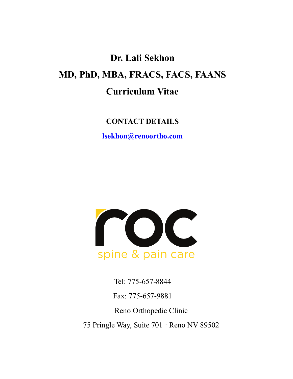# **Dr. Lali Sekhon MD, PhD, MBA, FRACS, FACS, FAANS Curriculum Vitae**

**CONTACT DETAILS**

**lsekhon@renoortho.com**



Tel: 775-657-8844

Fax: 775-657-9881

Reno Orthopedic Clinic

75 Pringle Way, Suite 701 · Reno NV 89502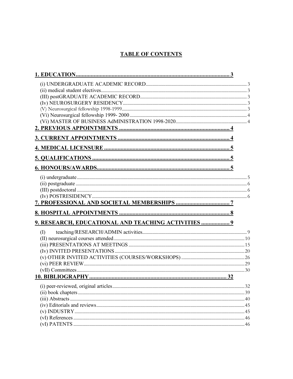# **TABLE OF CONTENTS**

| 9. RESEARCH, EDUCATIONAL AND TEACHING ACTIVITIES  9 |    |
|-----------------------------------------------------|----|
| (I)                                                 |    |
|                                                     | 32 |
|                                                     |    |
|                                                     |    |
|                                                     |    |
|                                                     |    |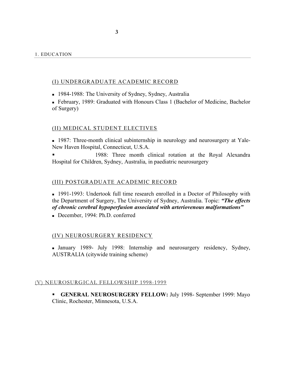#### (I) UNDERGRADUATE ACADEMIC RECORD

<sup>n</sup> 1984-1988: The University of Sydney, Sydney, Australia

<sup>n</sup> February, 1989: Graduated with Honours Class 1 (Bachelor of Medicine, Bachelor of Surgery)

#### (II) MEDICAL STUDENT ELECTIVES

<sup>n</sup> 1987: Three-month clinical subinternship in neurology and neurosurgery at Yale-New Haven Hospital, Connecticut, U.S.A.

1988: Three month clinical rotation at the Royal Alexandra Hospital for Children, Sydney, Australia, in paediatric neurosurgery

#### (III) POSTGRADUATE ACADEMIC RECORD

<sup>n</sup> 1991-1993: Undertook full time research enrolled in a Doctor of Philosophy with the Department of Surgery, The University of Sydney, Australia. Topic: *"The effects of chronic cerebral hypoperfusion associated with arteriovenous malformations"*

December, 1994: Ph.D. conferred

#### (IV) NEUROSURGERY RESIDENCY

<sup>n</sup> January 1989- July 1998: Internship and neurosurgery residency, Sydney, AUSTRALIA (citywide training scheme)

#### (V) NEUROSURGICAL FELLOWSHIP 1998-1999

§ **GENERAL NEUROSURGERY FELLOW:** July 1998- September 1999: Mayo Clinic, Rochester, Minnesota, U.S.A.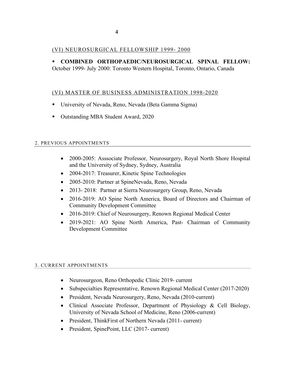# (VI) NEUROSURGICAL FELLOWSHIP 1999- 2000

§ **COMBINED ORTHOPAEDIC/NEUROSURGICAL SPINAL FELLOW:** October 1999- July 2000: Toronto Western Hospital, Toronto, Ontario, Canada

# (VI) MASTER OF BUSINESS ADMINISTRATION 1998-2020

- University of Nevada, Reno, Nevada (Beta Gamma Sigma)
- Outstanding MBA Student Award, 2020

#### 2. PREVIOUS APPOINTMENTS

- 2000-2005: Asssociate Professor, Neurosurgery, Royal North Shore Hospital and the University of Sydney, Sydney, Australia
- 2004-2017: Treasurer, Kinetic Spine Technologies
- 2005-2010: Partner at SpineNevada, Reno, Nevada
- 2013-2018: Partner at Sierra Neurosurgery Group, Reno, Nevada
- 2016-2019: AO Spine North America, Board of Directors and Chairman of Community Development Committee
- 2016-2019: Chief of Neurosurgery, Renown Regional Medical Center
- 2019-2021: AO Spine North America, Past- Chairman of Community Development Committee

#### 3. CURRENT APPOINTMENTS

- Neurosurgeon, Reno Orthopedic Clinic 2019- current
- Subspecialties Representative, Renown Regional Medical Center (2017-2020)
- President, Nevada Neurosurgery, Reno, Nevada (2010-current)
- Clinical Associate Professor, Department of Physiology & Cell Biology, University of Nevada School of Medicine, Reno (2006-current)
- President, ThinkFirst of Northern Nevada (2011- current)
- President, SpinePoint, LLC (2017- current)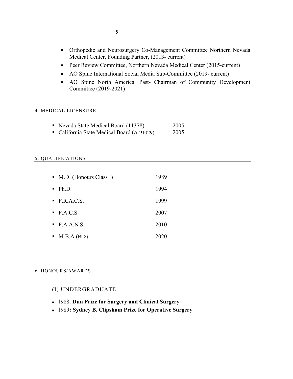- Orthopedic and Neurosurgery Co-Management Committee Northern Nevada Medical Center, Founding Partner, (2013- current)
- Peer Review Committee, Northern Nevada Medical Center (2015-current)
- AO Spine International Social Media Sub-Committee (2019- current)
- AO Spine North America, Past- Chairman of Community Development Committee (2019-2021)

#### 4. MEDICAL LICENSURE

- Nevada State Medical Board (11378) 2005
- California State Medical Board (A-91029) 2005

#### 5. QUALIFICATIONS

| $\blacksquare$ M.D. (Honours Class I) | 1989 |
|---------------------------------------|------|
| $\blacksquare$ Ph.D.                  | 1994 |
| $\blacksquare$ F.R.A.C.S.             | 1999 |
| $\blacksquare$ F.A.C.S                | 2007 |
| $\blacksquare$ F.A.A.N.S.             | 2010 |
| $\blacksquare$ M.B.A (BFZ)            | 2020 |

#### 6. HONOURS/AWARDS

## (I) UNDERGRADUATE

- <sup>n</sup> 1988: **Dun Prize for Surgery and Clinical Surgery**
- <sup>n</sup> 1989**: Sydney B. Clipsham Prize for Operative Surgery**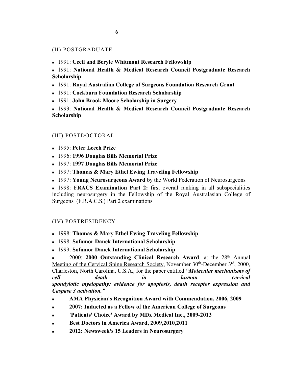# (II) POSTGRADUATE

<sup>n</sup> 1991: **Cecil and Beryle Whitmont Research Fellowship** 

<sup>n</sup> 1991: **National Health & Medical Research Council Postgraduate Research Scholarship**

- <sup>n</sup> 1991: **Royal Australian College of Surgeons Foundation Research Grant**
- <sup>n</sup> 1991: **Cockburn Foundation Research Scholarship**
- <sup>n</sup> 1991: **John Brook Moore Scholarship in Surgery**
- <sup>n</sup> 1993: **National Health & Medical Research Council Postgraduate Research Scholarship**

## (III) POSTDOCTORAL

- <sup>n</sup> 1995: **Peter Leech Prize**
- <sup>n</sup> 1996: **1996 Douglas Bills Memorial Prize**
- <sup>n</sup> 1997: **1997 Douglas Bills Memorial Prize**
- <sup>n</sup> 1997: **Thomas & Mary Ethel Ewing Traveling Fellowship**
- <sup>n</sup> 1997: **Young Neurosurgeons Award** by the World Federation of Neurosurgeons

<sup>n</sup> 1998: **FRACS Examination Part 2:** first overall ranking in all subspecialities including neurosurgery in the Fellowship of the Royal Australasian College of Surgeons (F.R.A.C.S.) Part 2 examinations

## (IV) POSTRESIDENCY

- <sup>n</sup> 1998: **Thomas & Mary Ethel Ewing Traveling Fellowship**
- <sup>n</sup> 1998: **Sofamor Danek International Scholarship**
- <sup>n</sup> 1999: **Sofamor Danek International Scholarship**

2000: **2000 Outstanding Clinical Research Award**, at the 28<sup>th</sup> Annual Meeting of the Cervical Spine Research Society, November 30th-December 3<sup>rd</sup>, 2000, Charleston, North Carolina, U.S.A., for the paper entitled *"Molecular mechanisms of cell death in human cervical spondylotic myelopathy: evidence for apoptosis, death receptor expression and Caspase 3 activation."*

- <sup>n</sup> **AMA Physician's Recognition Award with Commendation, 2006, 2009**
- <sup>n</sup> **2007: Inducted as a Fellow of the American College of Surgeons**
- 'Patients' Choice' Award by MDx Medical Inc., 2009-2013
- Best Doctors in America Award, 2009, 2010, 2011
- <sup>n</sup> **2012: Newsweek's 15 Leaders in Neurosurgery**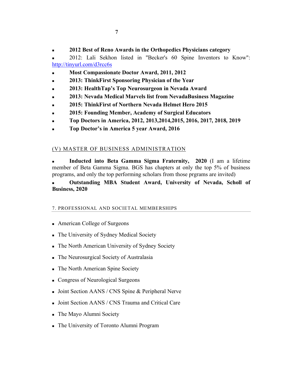<sup>n</sup> 2012: Lali Sekhon listed in "Becker's 60 Spine Inventors to Know": http://tinyurl.com/d3rcc6s

- <sup>n</sup> **Most Compassionate Doctor Award, 2011, 2012**
- <sup>n</sup> **2013: ThinkFirst Sponsoring Physician of the Year**
- <sup>n</sup> **2013: HealthTap's Top Neurosurgeon in Nevada Award**
- <sup>n</sup> **2013: Nevada Medical Marvels list from NevadaBusiness Magazine**
- <sup>n</sup> **2015: ThinkFirst of Northern Nevada Helmet Hero 2015**
- <sup>n</sup> **2015: Founding Member, Academy of Surgical Educators**
- <sup>n</sup> **Top Doctors in America, 2012, 2013,2014,2015, 2016, 2017, 2018, 2019**
- <sup>n</sup> **Top Doctor's in America 5 year Award, 2016**

# (V) MASTER OF BUSINESS ADMINISTRATION

<sup>n</sup> **Inducted into Beta Gamma Sigma Fraternity, 2020** (I am a lifetime member of Beta Gamma Sigma. BGS has chapters at only the top 5% of business programs, and only the top performing scholars from those prgrams are invited)

# <sup>n</sup> **Outstanding MBA Student Award, University of Nevada, Scholl of Business, 2020**

# 7. PROFESSIONAL AND SOCIETAL MEMBERSHIPS

- American College of Surgeons
- n The University of Sydney Medical Society
- n The North American University of Sydney Society
- n The Neurosurgical Society of Australasia
- The North American Spine Society
- Congress of Neurological Surgeons
- **Joint Section AANS / CNS Spine & Peripheral Nerve**
- <sup>n</sup> Joint Section AANS / CNS Trauma and Critical Care
- n The Mayo Alumni Society
- The University of Toronto Alumni Program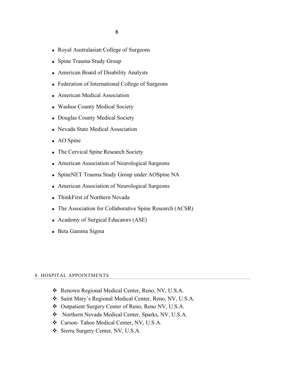- <sup>n</sup> Royal Australasian College of Surgeons
- Spine Trauma Study Group
- <sup>n</sup> American Board of Disability Analysts
- Federation of International College of Surgeons
- American Medical Association
- **Nashoe County Medical Society**
- **n** Douglas County Medical Society
- <sup>n</sup> Nevada State Medical Association
- $\blacksquare$  AO Spine
- n The Cervical Spine Research Society
- American Association of Neurological Surgeons
- SpineNET Trauma Study Group under AOSpine NA
- American Association of Neurological Surgeons
- ThinkFirst of Northern Nevada
- n The Association for Collaborative Spine Research (ACSR)
- Academy of Surgical Educators (ASE)
- <sup>n</sup> Beta Gamma Sigma

#### 8. HOSPITAL APPOINTMENTS

- \* Renown Regional Medical Center, Reno, NV, U.S.A.
- v Saint Mary's Regional Medical Center, Reno, NV, U.S.A.
- v Outpatient Surgery Center of Reno, Reno NV, U.S.A.
- ◆ Northern Nevada Medical Center, Sparks, NV, U.S.A.
- v Carson- Tahoe Medical Center, NV, U.S.A.
- v Sierra Surgery Center, NV, U.S.A.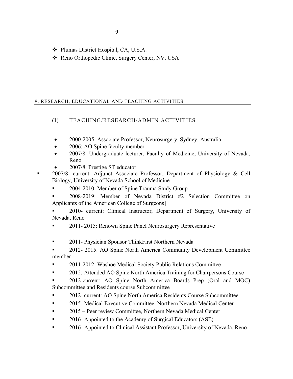- v Plumas District Hospital, CA, U.S.A.
- \* Reno Orthopedic Clinic, Surgery Center, NV, USA

# 9. RESEARCH, EDUCATIONAL AND TEACHING ACTIVITIES

# (I) TEACHING/RESEARCH/ADMIN ACTIVITIES

- 2000-2005: Associate Professor, Neurosurgery, Sydney, Australia
- 2006: AO Spine faculty member
- 2007/8: Undergraduate lecturer, Faculty of Medicine, University of Nevada, Reno
- 2007/8: Prestige ST educator
- § 2007/8- current: Adjunct Associate Professor, Department of Physiology & Cell Biology, University of Nevada School of Medicine
	- § 2004-2010: Member of Spine Trauma Study Group
	- § 2008-2019: Member of Nevada District #2 Selection Committee on Applicants of the American College of Surgeons]

§ 2010- current: Clinical Instructor, Department of Surgery, University of Nevada, Reno

- § 2011- 2015: Renown Spine Panel Neurosurgery Representative
- 2011- Physician Sponsor ThinkFirst Northern Nevada

§ 2012- 2015: AO Spine North America Community Development Committee member

- § 2011-2012: Washoe Medical Society Public Relations Committee
- 2012: Attended AO Spine North America Training for Chairpersons Course

§ 2012-current: AO Spine North America Boards Prep (Oral and MOC) Subcommittee and Residents course Subcommittee

- § 2012- current: AO Spine North America Residents Course Subcommittee
- § 2015- Medical Executive Committee, Northern Nevada Medical Center
- 2015 Peer review Committee, Northern Nevada Medical Center
- 2016- Appointed to the Academy of Surgical Educators (ASE)
- § 2016- Appointed to Clinical Assistant Professor, University of Nevada, Reno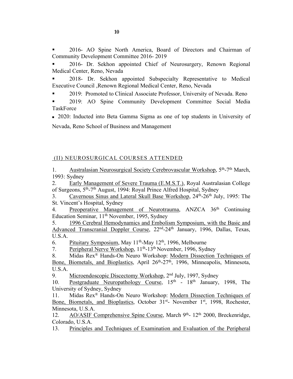§ 2016- AO Spine North America, Board of Directors and Chairman of Community Development Committee 2016- 2019

§ 2016- Dr. Sekhon appointed Chief of Neurosurgery, Renown Regional Medical Center, Reno, Nevada

§ 2018- Dr. Sekhon appointed Subspecialty Representative to Medical Executive Council ,Renown Regional Medical Center, Reno, Nevada

§ 2019: Promoted to Clinical Associate Professor, University of Nevada. Reno

§ 2019: AO Spine Community Development Committee Social Media **TaskForce** 

<sup>n</sup> 2020: Inducted into Beta Gamma Sigma as one of top students in University of Nevada, Reno School of Business and Management

# (II) NEUROSURGICAL COURSES ATTENDED

1. Australasian Neurosurgical Society Cerebrovascular Workshop, 5th-7th March, 1993: Sydney

2. Early Management of Severe Trauma (E.M.S.T.), Royal Australasian College of Surgeons, 5th-7th August, 1994: Royal Prince Alfred Hospital, Sydney

3. Cavernous Sinus and Lateral Skull Base Workshop, 24th-26th July, 1995: The St. Vincent's Hospital, Sydney

4. Preoperative Management of Neurotrauma, ANZCA 36<sup>th</sup> Continuing Education Seminar, 11th November, 1995, Sydney

5. 1996 Cerebral Hemodynamics and Embolism Symposium, with the Basic and Advanced Transcranial Doppler Course, 22nd-24th January, 1996, Dallas, Texas, U.S.A.

6. Pituitary Symposium, May  $11<sup>th</sup>$ -May  $12<sup>th</sup>$ , 1996, Melbourne

7. Peripheral Nerve Workshop, 11th-13th November, 1996, Sydney

8. Midas Rex® Hands-On Neuro Workshop: Modern Dissection Techniques of Bone, Biometals, and Bioplastics, April 26<sup>th</sup>-27<sup>th</sup>, 1996, Minneapolis, Minnesota, U.S.A.

9. Microendoscopic Discectomy Workshop, 2<sup>nd</sup> July, 1997, Sydney

10. Postgraduate Neuropathology Course,  $15<sup>th</sup>$  -  $18<sup>th</sup>$  January, 1998, The University of Sydney, Sydney

11. Midas Rex<sup>®</sup> Hands-On Neuro Workshop: Modern Dissection Techniques of Bone, Biometals, and Bioplastics, October 31<sup>st</sup>- November 1<sup>st</sup>, 1998, Rochester, Minnesota, U.S.A.

12. AO/ASIF Comprehensive Spine Course, March 9<sup>th</sup>- 12<sup>th</sup> 2000, Breckenridge, Colorado, U.S.A.

13. Principles and Techniques of Examination and Evaluation of the Peripheral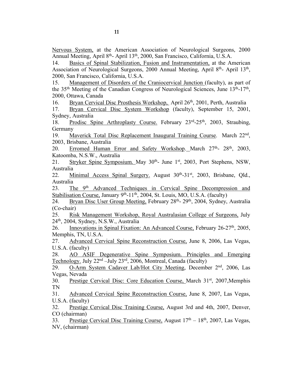Nervous System, at the American Association of Neurological Surgeons, 2000 Annual Meeting, April 8<sup>th</sup>- April 13<sup>th</sup>, 2000, San Francisco, California, U.S.A.

14. Basics of Spinal Stabilization, Fusion and Instrumentation, at the American Association of Neurological Surgeons, 2000 Annual Meeting, April 8<sup>th</sup>- April 13<sup>th</sup>, 2000, San Francisco, California, U.S.A.

15. Management of Disorders of the Craniocervical Junction (faculty), as part of the 35<sup>th</sup> Meeting of the Canadian Congress of Neurological Sciences, June  $13<sup>th</sup>$ -17<sup>th</sup>, 2000, Ottawa, Canada

16. Bryan Cervical Disc Prosthesis Workshop, April 26<sup>th</sup>, 2001, Perth, Australia

17. Bryan Cervical Disc System Workshop (faculty), September 15, 2001, Sydney, Australia

18. Prodisc Spine Arthroplasty Course. February 23<sup>rd</sup>-25<sup>th</sup>, 2003, Straubing, Germany

19. Maverick Total Disc Replacement Inaugural Training Course. March 22nd, 2003, Brisbane, Australia

20. Erromed Human Error and Safety Workshop. March 27<sup>th</sup>- 28<sup>th</sup>, 2003, Katoomba, N.S.W., Australia

21. Stryker Spine Symposium. May 30<sup>th</sup>- June 1<sup>st</sup>, 2003, Port Stephens, NSW, Australia

22. Minimal Access Spinal Surgery. August 30th-31st, 2003, Brisbane, Qld., Australia

23. The 9th Advanced Techniques in Cervical Spine Decompression and Stabilisation Course, January  $9<sup>th</sup>$ -11<sup>th</sup>, 2004, St. Louis, MO, U.S.A. (faculty)

24. Bryan Disc User Group Meeting, February 28<sup>th</sup>- 29<sup>th</sup>, 2004, Sydney, Australia (Co-chair)

25. Risk Management Workshop, Royal Australasian College of Surgeons, July 24th, 2004, Sydney, N.S.W., Australia

26. Innovations in Spinal Fixation: An Advanced Course, February 26-27<sup>th</sup>, 2005, Memphis, TN, U.S.A.

27. Advanced Cervical Spine Reconstruction Course, June 8, 2006, Las Vegas, U.S.A. (faculty)

28. AO ASIF Degenerative Spine Symposium. Principles and Emerging Technology. July  $22<sup>nd</sup>$  –July  $23<sup>rd</sup>$ , 2006, Montreal, Canada (faculty)

29. O-Arm System Cadaver Lab/Hot City Meeting, December 2<sup>nd</sup>, 2006, Las Vegas, Nevada

30. Prestige Cervical Disc: Core Education Course, March 31<sup>st</sup>, 2007, Memphis TN

31. Advanced Cervical Spine Reconstruction Course, June 8, 2007, Las Vegas, U.S.A. (faculty)

32. Prestige Cervical Disc Training Course, August 3rd and 4th, 2007, Denver, CO (chairman)

33. Prestige Cervical Disc Training Course, August  $17<sup>th</sup> - 18<sup>th</sup>$ , 2007, Las Vegas, NV, (chairman)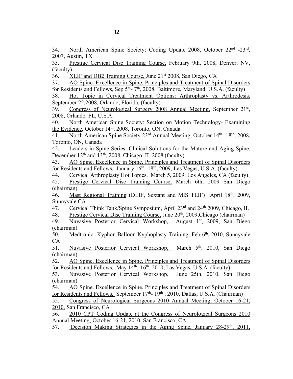34. North American Spine Society: Coding Update 2008, October 22<sup>nd</sup> -23<sup>rd</sup>, 2007, Austin, TX

35. Prestige Cervical Disc Training Course, February 9th, 2008, Denver, NV, (faculty)

36. XLIF and DB2 Training Course, June 21st 2008, San Diego, CA

37. AO Spine. Excellence in Spine. Principles and Treatment of Spinal Disorders for Residents and Fellows, Sep  $5<sup>th</sup>$ - 7<sup>th</sup>, 2008, Baltimore, Maryland, U.S.A. (faculty)

38. Hot Topic in Cervical Treatment Options: Arthroplasty vs. Arthrodesis, September 22,2008, Orlando, Florida, (faculty)

39. Congress of Neurological Surgery 2008 Annual Meeting, September 21st, 2008, Orlando, FL, U.S.A.

40. North American Spine Society: Section on Motion Technology- Examining the Evidence, October 14<sup>th</sup>, 2008, Toronto, ON, Canada

41. North American Spine Society 23<sup>rd</sup> Annual Meeting, October 14<sup>th</sup>- 18<sup>th</sup>, 2008, Toronto, ON, Canada

42. Leaders in Spine Series: Clinical Solutions for the Mature and Aging Spine, December  $12<sup>th</sup>$  and  $13<sup>th</sup>$ , 2008, Chicago, IL 2008 (faculty)

43. AO Spine. Excellence in Spine. Principles and Treatment of Spinal Disorders for Residents and Fellows, January  $16<sup>th</sup>$ - 18<sup>th</sup>, 2009, Las Vegas, U.S.A. (faculty)

44. Cervical Arthroplasty Hot Topics, March 5, 2009, Los Angeles, CA (faculty)

45. Prestige Cervical Disc Training Course, March 6th, 2009 San Diego (chairman)

46. Mast Regional Training (DLIF, Sextant and MIS TLIF) April 18<sup>th</sup>, 2009, Sunnyvale CA

47. Cervical Think Tank/Spine Symposium, April 23<sup>rd</sup> and 24<sup>th</sup> 2009, Chicago, IL

48. Prestige Cervical Disc Training Course, June 20<sup>th</sup>, 2009, Chicago (chairman)

49. Nuvasive Posterior Cervical Workshop, August 1st, 2009, San Diego (chairman)

50. Medtronic Kyphon Balloon Kyphoplasty Training, Feb 6<sup>th</sup>, 2010, Sunnyvale CA

51. Nuvasive Posterior Cervical Workshop, March 5<sup>th</sup>, 2010, San Diego (chairman)

52. AO Spine. Excellence in Spine. Principles and Treatment of Spinal Disorders for Residents and Fellows, May 14<sup>th</sup>- 16<sup>th</sup>, 2010, Las Vegas, U.S.A. (faculty)

53. Nuvasive Posterior Cervical Workshop, June 25th, 2010, San Diego (chairman)

54. AO Spine. Excellence in Spine. Principles and Treatment of Spinal Disorders for Residents and Fellows, September  $17<sup>th</sup>$ -  $19<sup>th</sup>$ , 2010, Dallas, U.S.A. (Chairman)

55. Congress of Neurological Surgeons 2010 Annual Meeting, October 16-21, 2010, San Francisco, CA

56. 2010 CPT Coding Update at the Congress of Neurological Surgeons 2010 Annual Meeting, October 16-21, 2010, San Francisco, CA

57. Decision Making Strategies in the Aging Spine, January 28-29<sup>th</sup>, 2011,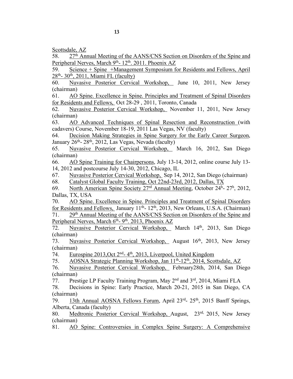58. 27th Annual Meeting of the AANS/CNS Section on Disorders of the Spine and Peripheral Nerves, March 9<sup>th</sup>- 12<sup>th</sup>. 2011. Phoenix AZ

59. Science + Spine +Management Symposium for Residents and Fellows, April  $28<sup>th</sup> - 30<sup>th</sup>$ , 2011, Miami FL (faculty)

60. Nuvasive Posterior Cervical Workshop, June 10, 2011, New Jersey (chairman)

61. AO Spine. Excellence in Spine. Principles and Treatment of Spinal Disorders for Residents and Fellows, Oct 28-29 , 2011, Toronto, Canada

62. Nuvasive Posterior Cervical Workshop, November 11, 2011, New Jersey (chairman)

63. AO Advanced Techniques of Spinal Resection and Reconstruction (with cadavers) Course, November 18-19, 2011 Las Vegas, NV (faculty)

64. Decision Making Strategies in Spine Surgery for the Early Career Surgeon, January  $26<sup>th</sup> - 28<sup>th</sup>$ , 2012, Las Vegas, Nevada (faculty)

65. Nuvasive Posterior Cervical Workshop, March 16, 2012, San Diego (chairman)

66. AO Spine Training for Chairpersons, July 13-14, 2012, online course July 13- 14, 2012 and postcourse July 14-30, 2012, Chicago, IL

67. Nuvasive Posterior Cervical Workshop, Sep 14, 2012, San Diego (chairman)

68. Catalyst Global Faculty Training, Oct 22nd-23rd, 2012, Dallas, TX

69. North American Spine Society 27<sup>rd</sup> Annual Meeting, October 24<sup>h</sup>- 27<sup>h</sup>, 2012, Dallas, TX, USA

70. AO Spine. Excellence in Spine. Principles and Treatment of Spinal Disorders for Residents and Fellows, January  $11<sup>th</sup>$ -  $12<sup>th</sup>$ ,  $2013$ , New Orleans, U.S.A. (Chairman) 71. 29th Annual Meeting of the AANS/CNS Section on Disorders of the Spine and Peripheral Nerves, March  $6<sup>th</sup>$ -  $9<sup>th</sup>$ . 2013, Phoenix AZ

72. Nuvasive Posterior Cervical Workshop, March 14th, 2013, San Diego (chairman)

73. Nuvasive Posterior Cervical Workshop, August 16<sup>th</sup>, 2013, New Jersey (chairman)

74. Eurospine 2013,Oct 2nd- 4th, 2013, Liverpool, United Kingdom

75. AOSNA Strategic Planning Workshop, Jan 11th-12th, 2014, Scottsdale, AZ

76. Nuvasive Posterior Cervical Workshop, February28th, 2014, San Diego (chairman)

77. Prestige LP Faculty Training Program, May 2nd and 3rd, 2014, Miami FLA

78. Decisions in Spine: Early Practice, March 20-21, 2015 in San Diego, CA (chairman)

79. 13th Annual AOSNA Fellows Forum, April 23<sup>rd</sup>- 25<sup>th</sup>, 2015 Banff Springs, Alberta, Canada (faculty)

80. Medtronic Posterior Cervical Workshop, August, 23rd, 2015, New Jersey (chairman)

81. AO Spine: Controversies in Complex Spine Surgery: A Comprehensive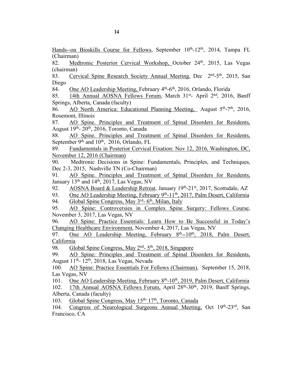Hands--on Bioskills Course for Fellows, September 10<sup>th</sup>-12<sup>th</sup>, 2014, Tampa FL (Chairman)

82. Medtronic Posterior Cervical Workshop, October 24<sup>th</sup>, 2015, Las Vegas (chairman)

83. Cervical Spine Research Society Annual Meeting, Dec 2<sup>nd</sup>-5<sup>th</sup>, 2015, San Diego

84. One AO Leadership Meeting, February 4<sup>th</sup>-6<sup>th</sup>, 2016, Orlando, Florida

85. 14th Annual AOSNA Fellows Forum, March 31st- April 2nd, 2016, Banff Springs, Alberta, Canada (faculty)

86. AO North America: Educational Planning Meeting, August  $5<sup>th</sup> - 7<sup>th</sup>$ , 2016, Rosemont, Illinois

87. AO Spine. Principles and Treatment of Spinal Disorders for Residents, August 19th- 20th, 2016, Toronto, Canada

88. AO Spine. Principles and Treatment of Spinal Disorders for Residents, September  $9<sup>th</sup>$  and  $10<sup>th</sup>$ , 2016, Orlando, FL

89. Fundamentals in Posterior Cervical Fixation: Nov 12, 2016, Washington, DC, November 12, 2016 (Chairman)

90. Medtronic Decisions in Spine: Fundamentals, Principles, and Techniques, Dec 2-3, 2015, Nashville TN (Co-Chairman)

91. AO Spine. Principles and Treatment of Spinal Disorders for Residents, January 13<sup>th</sup> and 14<sup>th</sup>, 2017, Las Vegas, NV

92. AOSNA Board & Leadership Retreat, January 19th-21st, 2017, Scottsdale, AZ

93. One AO Leadership Meeting, February 9<sup>th</sup>-11<sup>th</sup>, 2017, Palm Desert, California

94. Global Spine Congress, May 3rd- 6th, Milan, Italy

95. AO Spine: Controversies in Complex Spine Surgery: Fellows Course, November 3, 2017, Las Vegas, NV

96. AO Spine: Practice Essentials: Learn How to Be Successful in Today's Changing Healthcare Environment, November 4, 2017, Las Vegas, NV

97. One AO Leadership Meeting, February  $8<sup>th</sup>$ -10<sup>th</sup>, 2018, Palm Desert, California

98. Global Spine Congress, May 2<sup>nd</sup>- 5<sup>th</sup>, 2018, Singapore

99. AO Spine: Principles and Treatment of Spinal Disorders for Residents, August  $11<sup>th</sup>$ -  $12<sup>th</sup>$ ,  $2018$ , Las Vegas, Nevada

100. AO Spine: Practice Essentials For Fellows (Chairman), September 15, 2018, Las Vegas, NV

101. One AO Leadership Meeting, February 8<sup>th</sup>-10<sup>th</sup>, 2019, Palm Desert, California

102. 17th Annual AOSNA Fellows Forum, April 28th-30th, 2019, Banff Springs, Alberta, Canada (faculty)

103. Global Spine Congress, May 15<sup>th-17th</sup>, Toronto, Canada

104. Congress of Neurological Surgeons Annual Meeting, Oct 19th-23rd, San Francisco, CA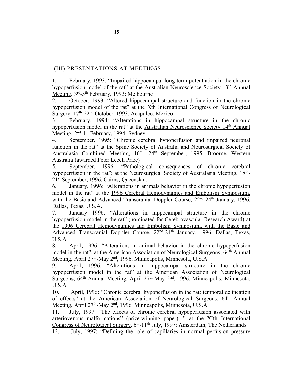# (III) PRESENTATIONS AT MEETINGS

1. February, 1993: "Impaired hippocampal long-term potentiation in the chronic hypoperfusion model of the rat" at the Australian Neuroscience Society 13<sup>th</sup> Annual Meeting, 3rd-5th February, 1993: Melbourne

2. October, 1993: "Altered hippocampal structure and function in the chronic hypoperfusion model of the rat" at the Xth International Congress of Neurological Surgery, 17th-22nd October, 1993: Acapulco, Mexico

3. February, 1994: "Alterations in hippocampal structure in the chronic hypoperfusion model in the rat" at the Australian Neuroscience Society 14<sup>th</sup> Annual Meeting, 2<sup>nd</sup>-4<sup>th</sup> February, 1994: Sydney

4. September, 1995: "Chronic cerebral hypoperfusion and impaired neuronal function in the rat" at the Spine Society of Australia and Neurosurgical Society of Australasia Combined Meeting, 16<sup>th</sup>- 24<sup>th</sup> September, 1995, Broome, Western Australia (awarded Peter Leech Prize)

5. September, 1996: "Pathological consequences of chronic cerebral hypoperfusion in the rat"; at the Neurosurgical Society of Australasia Meeting, 18<sup>th</sup>-21st September, 1996, Cairns, Queensland

6. January, 1996: "Alterations in animals behavior in the chronic hypoperfusion model in the rat" at the 1996 Cerebral Hemodynamics and Embolism Symposium, with the Basic and Advanced Transcranial Doppler Course, 22<sup>nd</sup>-24<sup>th</sup> January, 1996, Dallas, Texas, U.S.A.

7. January 1996: "Alterations in hippocampal structure in the chronic hypoperfusion model in the rat" (nominated for Cerebrovascular Research Award) at the 1996 Cerebral Hemodynamics and Embolism Symposium, with the Basic and Advanced Transcranial Doppler Course, 22nd-24th January, 1996, Dallas, Texas, U.S.A.

8. April, 1996: "Alterations in animal behavior in the chronic hypoperfusion model in the rat", at the American Association of Neurological Surgeons, 64<sup>th</sup> Annual Meeting, April 27th-May 2nd, 1996, Minneapolis, Minnesota, U.S.A.

9. April, 1996: "Alterations in hippocampal structure in the chronic hypoperfusion model in the rat" at the American Association of Neurological Surgeons,  $64<sup>th</sup>$  Annual Meeting, April 27<sup>th</sup>-May 2<sup>nd</sup>, 1996, Minneapolis, Minnesota, U.S.A.

10. April, 1996: "Chronic cerebral hypoperfusion in the rat: temporal delineation of effects" at the American Association of Neurological Surgeons, 64<sup>th</sup> Annual Meeting, April 27th-May 2nd, 1996, Minneapolis, Minnesota, U.S.A.

11. July, 1997: "The effects of chronic cerebral hypoperfusion associated with arteriovenous malformations" (prize-winning paper), " at the XIth International Congress of Neurological Surgery, 6th-11th July, 1997: Amsterdam, The Netherlands 12. July, 1997: "Defining the role of capillaries in normal perfusion pressure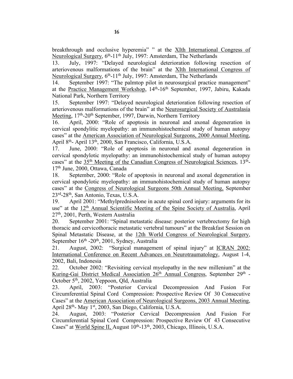13. July, 1997: "Delayed neurological deterioration following resection of arteriovenous malformations of the brain" at the XIth International Congress of Neurological Surgery, 6<sup>th</sup>-11<sup>th</sup> July, 1997: Amsterdam, The Netherlands

14. September 1997: "The palmtop pilot in neurosurgical practice management" at the Practice Management Workshop, 14<sup>th</sup>-16<sup>th</sup> September, 1997, Jabiru, Kakadu National Park, Northern Territory

15. September 1997: "Delayed neurological deterioration following resection of arteriovenous malformations of the brain" at the Neurosurgical Society of Australasia Meeting, 17<sup>th</sup>-20<sup>th</sup> September, 1997, Darwin, Northern Territory

16. April, 2000: "Role of apoptosis in neuronal and axonal degeneration in cervical spondylitic myelopathy: an immunohistochemical study of human autopsy cases" at the American Association of Neurological Surgeons, 2000 Annual Meeting, April 8th- April 13th, 2000, San Francisco, California, U.S.A.

17. June, 2000: "Role of apoptosis in neuronal and axonal degeneration in cervical spondylotic myelopathy: an immunohistochemical study of human autopsy cases" at the  $35<sup>th</sup>$  Meeting of the Canadian Congress of Neurological Sciences,  $13<sup>th</sup>$ -17<sup>th</sup> June, 2000, Ottawa, Canada

18. September, 2000: "Role of apoptosis in neuronal and axonal degeneration in cervical spondylotic myelopathy: an immunohistochemical study of human autopsy cases" at the Congress of Neurological Surgeons 50th Annual Meeting, September 23rd-28th, San Antonio, Texas, U.S.A.

19. April 2001: "Methylprednisolone in acute spinal cord injury: arguments for its use" at the 12<sup>th</sup> Annual Scientific Meeting of the Spine Society of Australia, April 27th, 2001, Perth, Western Australia

20. September 2001: "Spinal metastatic disease: posterior vertebrectomy for high thoracic and cervicothoracic metastatic vertebral tumours" at the Breakfast Session on Spinal Metastatic Disease, at the 12th World Congress of Neurological Surgery, September  $16<sup>th</sup>$  -20<sup>th</sup>, 2001, Sydney, Australia

21. August, 2002: "Surgical management of spinal injury" at ICRAN 2002: International Conference on Recent Advances on Neurotraumatology, August 1-4, 2002, Bali, Indonesia

22. October 2002: "Revisiting cervical myelopathy in the new millenium" at the Kuring-Gai District Medical Association 26<sup>th</sup> Annual Congress, September 29<sup>th</sup> -October 5<sup>th</sup>, 2002, Yeppoon, Qld, Australia

23. April, 2003: "Posterior Cervical Decompression And Fusion For Circumferential Spinal Cord Compression: Prospective Review Of 30 Consecutive Cases" at the American Association of Neurological Surgeons, 2003 Annual Meeting, April 28th- May 1st, 2003, San Diego, California, U.S.A.

24. August, 2003: "Posterior Cervical Decompression And Fusion For Circumferential Spinal Cord Compression: Prospective Review Of 43 Consecutive Cases" at World Spine II, August  $10^{th}$ -13<sup>th</sup>, 2003, Chicago, Illinois, U.S.A.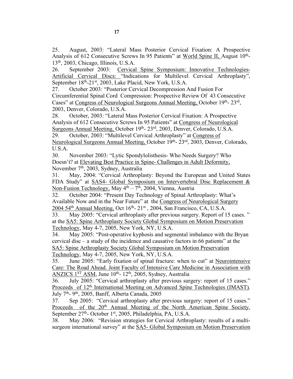25. August, 2003: "Lateral Mass Posterior Cervical Fixation: A Prospective Analysis of 612 Consecutive Screws In 95 Patients" at World Spine II, August 10<sup>th</sup>-13th, 2003, Chicago, Illinois, U.S.A.

26. September 2003: Cervical Spine Symposium: Innovative Technologies-Artificial Cervical Discs: "Indications for Multilevel Cervical Arthroplasty", September 18<sup>th</sup>-21<sup>st</sup>, 2003, Lake Placid, New York, U.S.A.

27. October 2003: "Posterior Cervical Decompression And Fusion For Circumferential Spinal Cord Compression: Prospective Review Of 43 Consecutive Cases" at Congress of Neurological Surgeons Annual Meeting, October 19th- 23rd, 2003, Denver, Colorado, U.S.A.

28. October, 2003: "Lateral Mass Posterior Cervical Fixation: A Prospective Analysis of 612 Consecutive Screws In 95 Patients" at Congress of Neurological Surgeons Annual Meeting, October 19<sup>th</sup>- 23<sup>rd</sup>, 2003, Denver, Colorado, U.S.A.

29. October, 2003: "Multilevel Cervical Arthroplasty" at Congress of Neurological Surgeons Annual Meeting, October 19th- 23rd, 2003, Denver, Colorado, U.S.A.

30. November 2003: "Lytic Spondylolisthesis- Who Needs Surgery? Who Doesn't? at Elevating Best Practice in Spine- Challenges in Adult Deformity, November 7<sup>th</sup>, 2003, Sydney, Australia

31. May, 2004: "Cervical Arthroplasty: Beyond the European and United States FDA Study" at SAS4- Global Symposium on Intervertebral Disc Replacement & Non-Fusion Technology, May  $4<sup>th</sup> - 7<sup>th</sup>$ , 2004, Vienna, Austria

32. October 2004: "Present Day Technology of Spinal Arthroplasty: What's Available Now and in the Near Future" at the Congress of Neurological Surgery 2004 54<sup>th</sup> Annual Meeting, Oct  $16<sup>th</sup>$ -  $21<sup>st</sup>$ , 2004, San Francisco, CA, U.S.A.

33. May 2005: "Cervical arthroplasty after previous surgery. Report of 15 cases. " at the SA5: Spine Arthroplasty Society Global Symposium on Motion Preservation Technology, May 4-7, 2005, New York, NY, U.S.A.

34. May 2005: "Post-operative kyphosis and segmental imbalance with the Bryan cervical disc – a study of the incidence and causative factors in 66 patients" at the SA5: Spine Arthroplasty Society Global Symposium on Motion Preservation Technology, May 4-7, 2005, New York, NY, U.S.A.

35. June 2005: "Early fixation of spinal fracture: when to cut" at Neurointensive Care: The Road Ahead. Joint Faculty of Intensive Care Medicine in Association with ANZICS  $1<sup>ST</sup>$  ASM, June  $10<sup>th</sup>$ -  $12<sup>th</sup>$ , 2005, Sydney, Australia

36. July 2005: "Cervical arthroplasty after previous surgery: report of 15 cases." Proceeds of 12th International Meeting on Advanced Spine Technologies (IMAST)*,* July 7th- 9th, 2005, Banff, Alberta Canada, 2005

37. Sep 2005: "Cervical arthroplasty after previous surgery: report of 15 cases." Proceeds of the 20<sup>th</sup> Annual Meeting of the North American Spine Society, September 27th- October 1st, 2005, Philadelphia, PA, U.S.A.

38. May 2006: "Revision strategies for Cervical Arthroplasty: results of a multisurgeon international survey" at the SA5- Global Symposium on Motion Preservation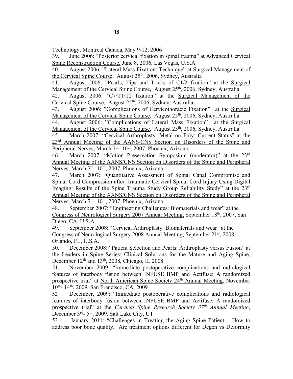Technology, Montreal Canada, May 9-12, 2006

39. June 2006: "Posterior cervical fixation in spinal trauma" at Advanced Cervical Spine Reconstruction Course, June 8, 2006, Las Vegas, U.S.A.

40. August 2006: "Lateral Mass Fixation: Technique" at Surgical Management of the Cervical Spine Course, August 25<sup>th</sup>, 2006, Sydney, Australia

41. August 2006: "Pearls, Tips and Tricks of C1/2 fixation" at the Surgical Management of the Cervical Spine Course, August 25<sup>th</sup>, 2006, Sydney, Australia

42. August 2006: "C7/T1/T2 fixation" at the Surgical Management of the Cervical Spine Course, August 25<sup>th</sup>, 2006, Sydney, Australia

43. August 2006: "Complications of Cervicothoracic Fixation" at the Surgical Management of the Cervical Spine Course, August 25<sup>th</sup>, 2006, Sydney, Australia

44. August 2006: "Complications of Lateral Mass Fixation" at the Surgical Management of the Cervical Spine Course, August 25<sup>th</sup>, 2006, Sydney, Australia

45. March 2007: "Cervical Arthroplasty. Metal on Poly: Current Status" at the 23<sup>rd</sup> Annual Meeting of the AANS/CNS Section on Disorders of the Spine and Peripheral Nerves, March 7<sup>th</sup>- 10<sup>th</sup>, 2007, Phoenix, Arizona.

46. March 2007: "Motion Preservation Symposium (moderator)" at the 23rd Annual Meeting of the AANS/CNS Section on Disorders of the Spine and Peripheral Nerves, March 7<sup>th</sup>- 10<sup>th</sup>, 2007, Phoenix, Arizona.

47. March 2007: "Quantitative Assessment of Spinal Canal Compromise and Spinal Cord Compression after Traumatic Cervical Spinal Cord Injury Using Digital Imaging: Results of the Spine Trauma Study Group Reliability Study" at the 23rd Annual Meeting of the AANS/CNS Section on Disorders of the Spine and Peripheral Nerves, March 7<sup>th</sup>- 10<sup>th</sup>, 2007, Phoenix, Arizona.

48. September 2007: "Engineering Challenges: Biomaterials and wear" at the Congress of Neurological Surgery 2007 Annual Meeting, September 18<sup>th</sup>, 2007, San Diego, CA, U.S.A.

49. September 2008: "Cervical Arthroplasty: Biomaterials and wear" at the Congress of Neurological Surgery 2008 Annual Meeting, September 21<sup>st</sup>, 2008, Orlando, FL, U.S.A.

50. December 2008: "Patient Selection and Pearls: Arthroplasty versus Fusion" at the Leaders in Spine Series: Clinical Solutions for the Mature and Aging Spine, December  $12<sup>th</sup>$  and  $13<sup>th</sup>$ , 2008, Chicago, IL 2008

51. November 2009: "Immediate postoperative complications and radiological features of interbody fusion between INFUSE BMP and Actifuse: A randomized prospective trial" at North American Spine Society 24th Annual Meeting, November 10th- 14th, 2009, San Francisco, CA, 2009

52. December, 2009: "Immediate postoperative complications and radiological features of interbody fusion between INFUSE BMP and Actifuse: A randomized prospective trial" at the *Cervical Spine Research Society 37th Annual Meeting*, December 3rd- 5<sup>th</sup>, 2009, Salt Lake City, UT

53. January 2011: "Challenges in Treating the Aging Spine Patient – How to address poor bone quality. Are treatment options different for Degen vs Deformity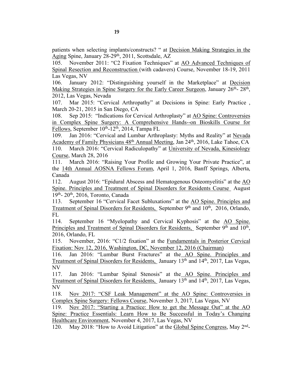patients when selecting implants/constructs? " at Decision Making Strategies in the Aging Spine, January 28-29<sup>th</sup>, 2011, Scottsdale, AZ

105. November 2011: "C2 Fixation Techniques" at AO Advanced Techniques of Spinal Resection and Reconstruction (with cadavers) Course, November 18-19, 2011 Las Vegas, NV

106. January 2012: "Distinguishing yourself in the Marketplace" at Decision Making Strategies in Spine Surgery for the Early Career Surgeon, January 26<sup>th</sup>- 28<sup>th</sup>, 2012, Las Vegas, Nevada

107. Mar 2015: "Cervical Arthropathy" at Decisions in Spine: Early Practice , March 20-21, 2015 in San Diego, CA

108. Sep 2015: "Indications for Cervical Arthroplasty" at AO Spine: Controversies in Complex Spine Surgery: A Comprehensive Hands--on Bioskills Course for Fellows, September  $10^{th}$ - $12^{th}$ , 2014, Tampa FL

109. Jan 2016: "Cervical and Lumbar Arthroplasty: Myths and Reality" at Nevada Academy of Family Physicians 48<sup>th</sup> Annual Meeting, Jan 24<sup>th</sup>, 2016, Lake Tahoe, CA 110. March 2016: "Cervical Radiculopathy" at University of Nevada, Kinesiology Course, March 28, 2016

111. March 2016: "Raising Your Profile and Growing Your Private Practice", at the 14th Annual AOSNA Fellows Forum, April 1, 2016, Banff Springs, Alberta, Canada

112. August 2016: "Epidural Abscess and Hematogenous Osteomyelitis" at the AO Spine. Principles and Treatment of Spinal Disorders for Residents Course August 19th- 20th, 2016, Toronto, Canada

113. September 16 "Cervical Facet Subluxations" at the AO Spine. Principles and Treatment of Spinal Disorders for Residents, September 9<sup>th</sup> and 10<sup>th</sup>, 2016, Orlando, FL

114. September 16 "Myelopathy and Cervical Kyphosis" at the AO Spine. Principles and Treatment of Spinal Disorders for Residents, September 9<sup>th</sup> and 10<sup>th</sup>, 2016, Orlando, FL

115. November, 2016: "C1/2 fixation" at the Fundamentals in Posterior Cervical Fixation: Nov 12, 2016, Washington, DC, November 12, 2016 (Chairman)

116. Jan 2016: "Lumbar Burst Fractures" at the AO Spine. Principles and Treatment of Spinal Disorders for Residents, January 13th and 14th, 2017, Las Vegas, NV

117. Jan 2016: "Lumbar Spinal Stenosis" at the AO Spine. Principles and Treatment of Spinal Disorders for Residents, January 13th and 14th, 2017, Las Vegas, NV

118. Nov 2017: "CSF Leak Management" at the AO Spine: Controversies in Complex Spine Surgery: Fellows Course, November 3, 2017, Las Vegas, NV

119. Nov 2017: "Starting a Practice: How to get the Message Out" at the AO Spine: Practice Essentials: Learn How to Be Successful in Today's Changing Healthcare Environment, November 4, 2017, Las Vegas, NV

120. May 2018: "How to Avoid Litigation" at the Global Spine Congress, May 2nd-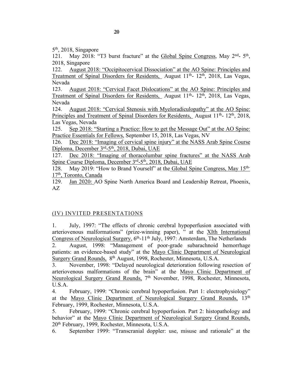5th, 2018, Singapore

121. May 2018: "T3 burst fracture" at the Global Spine Congress, May 2<sup>nd</sup>- 5<sup>th</sup>, 2018, Singapore

122. August 2018: "Occipitocervical Dissociation" at the AO Spine: Principles and Treatment of Spinal Disorders for Residents, August 11<sup>th</sup>- 12<sup>th</sup>, 2018, Las Vegas, Nevada

123. August 2018: "Cervical Facet Dislocations" at the AO Spine: Principles and Treatment of Spinal Disorders for Residents, August  $11<sup>th</sup>$ -  $12<sup>th</sup>$ , 2018, Las Vegas, Nevada

124. August 2018: "Cervical Stenosis with Myeloradiculopathy" at the AO Spine: Principles and Treatment of Spinal Disorders for Residents, August  $11<sup>th</sup>$ -  $12<sup>th</sup>$ , 2018, Las Vegas, Nevada

125. Sep 2018: "Starting a Practice: How to get the Message Out" at the AO Spine: Practice Essentials for Fellows, September 15, 2018, Las Vegas, NV

126. Dec 2018: "Imaging of cervical spine injury" at the NASS Arab Spine Course Diploma, December 3<sup>rd</sup>-5<sup>th</sup>, 2018, Dubai, UAE

127. Dec 2018: "Imaging of thoracolumbar spine fractures" at the NASS Arab Spine Course Diploma, December 3rd-5th, 2018, Dubai, UAE

128. May 2019: "How to Brand Yourself" at the Global Spine Congress, May 15<sup>th-1</sup> 17th, Toronto, Canada

129. Jan 2020: AO Spine North America Board and Leadership Retreat, Phoenix, AZ

# (IV) INVITED PRESENTATIONS

1. July, 1997: "The effects of chronic cerebral hypoperfusion associated with arteriovenous malformations" (prize-winning paper), " at the XIth International Congress of Neurological Surgery,  $6<sup>th</sup>$ -11<sup>th</sup> July, 1997: Amsterdam, The Netherlands

2. August, 1998: "Management of poor-grade subarachnoid hemorrhage patients: an evidence-based study" at the Mayo Clinic Department of Neurological Surgery Grand Rounds, 8th August, 1998, Rochester, Minnesota, U.S.A.

3. November, 1998: "Delayed neurological deterioration following resection of arteriovenous malformations of the brain" at the Mayo Clinic Department of Neurological Surgery Grand Rounds, 7<sup>th</sup> November, 1998, Rochester, Minnesota, U.S.A.

4. February, 1999: "Chronic cerebral hypoperfusion. Part 1: electrophysiology" at the Mayo Clinic Department of Neurological Surgery Grand Rounds, 13<sup>th</sup> February, 1999, Rochester, Minnesota, U.S.A.

5. February, 1999: "Chronic cerebral hypoperfusion. Part 2: histopathology and behavior" at the Mayo Clinic Department of Neurological Surgery Grand Rounds, 20th February, 1999, Rochester, Minnesota, U.S.A.

6. September 1999: "Transcranial doppler: use, misuse and rationale" at the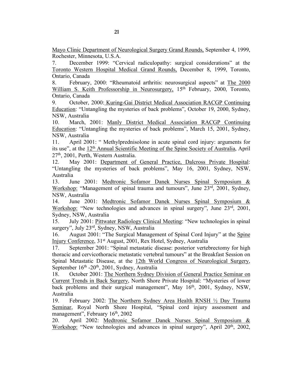Mayo Clinic Department of Neurological Surgery Grand Rounds, September 4, 1999, Rochester, Minnesota, U.S.A.

7. December 1999: "Cervical radiculopathy: surgical considerations" at the Toronto Western Hospital Medical Grand Rounds, December 8, 1999, Toronto, Ontario, Canada

8. February, 2000: "Rheumatoid arthritis: neurosurgical aspects" at The 2000 William S. Keith Professorship in Neurosurgery, 15<sup>th</sup> February, 2000, Toronto, Ontario, Canada

9. October, 2000: Kuring-Gai District Medical Association RACGP Continuing Education: "Untangling the mysteries of back problems", October 19, 2000, Sydney, NSW, Australia

10. March, 2001: Manly District Medical Association RACGP Continuing Education: "Untangling the mysteries of back problems", March 15, 2001, Sydney, NSW, Australia

11. April 2001: " Methylprednisolone in acute spinal cord injury: arguments for its use", at the 12th Annual Scientific Meeting of the Spine Society of Australia, April 27<sup>th</sup>, 2001, Perth, Western Australia.

12. May 2001: Department of General Practice, Dalcross Private Hospital: "Untangling the mysteries of back problems", May 16, 2001, Sydney, NSW, Australia

13. June 2001: Medtronic Sofamor Danek Nurses Spinal Symposium & Workshop: "Management of spinal trauma and tumours", June 23rd, 2001, Sydney, NSW, Australia

14. June 2001: Medtronic Sofamor Danek Nurses Spinal Symposium & Workshop: "New technologies and advances in spinal surgery", June 23<sup>rd</sup>, 2001, Sydney, NSW, Australia

15. July 2001: Pittwater Radiology Clinical Meeting: "New technologies in spinal surgery", July 23rd, Sydney, NSW, Australia

16. August 2001: "The Surgical Management of Spinal Cord Injury" at the Spine Injury Conference, 31st August, 2001, Rex Hotel, Sydney, Australia

17. September 2001: "Spinal metastatic disease: posterior vertebrectomy for high thoracic and cervicothoracic metastatic vertebral tumours" at the Breakfast Session on Spinal Metastatic Disease, at the 12th World Congress of Neurological Surgery, September 16<sup>th</sup> -20<sup>th</sup>, 2001, Sydney, Australia

18. October 2001: The Northern Sydney Division of General Practice Seminar on Current Trends in Back Surgery, North Shore Private Hospital: "Mysteries of lower back problems and their surgical management", May 16<sup>th</sup>, 2001, Sydney, NSW, Australia

19. February 2002: The Northern Sydney Area Health RNSH ½ Day Trauma Seminar, Royal North Shore Hospital, "Spinal cord injury assessment and management", February 16<sup>th</sup>, 2002

20. April 2002: Medtronic Sofamor Danek Nurses Spinal Symposium & Workshop: "New technologies and advances in spinal surgery", April 20<sup>th</sup>, 2002,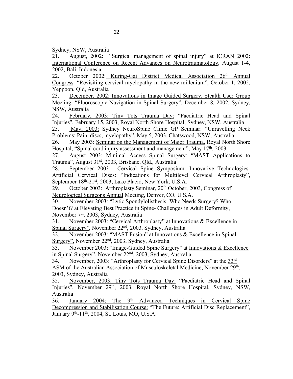Sydney, NSW, Australia

21. August, 2002: "Surgical management of spinal injury" at ICRAN 2002: International Conference on Recent Advances on Neurotraumatology, August 1-4, 2002, Bali, Indonesia

22. October 2002: Kuring-Gai District Medical Association 26<sup>th</sup> Annual Congress: "Revisiting cervical myelopathy in the new millenium", October 1, 2002, Yeppoon, Qld, Australia

23. December, 2002: Innovations in Image Guided Surgery. Stealth User Group Meeting: "Fluoroscopic Navigation in Spinal Surgery", December 8, 2002, Sydney, NSW, Australia

24. February, 2003: Tiny Tots Trauma Day: "Paediatric Head and Spinal Injuries", February 15, 2003, Royal North Shore Hospital, Sydney, NSW, Australia

25. May, 2003: Sydney NeuroSpine Clinic GP Seminar: "Unravelling Neck Problems: Pain, discs, myelopathy", May 5, 2003, Chatswood, NSW, Australia

26. May 2003: Seminar on the Management of Major Trauma, Royal North Shore Hospital, "Spinal cord injury assessment and management", May 17<sup>th</sup>, 2003

27. August 2003: Minimal Access Spinal Surgery: "MAST Applications to Trauma", August 31<sup>st</sup>, 2003, Brisbane, Qld., Australia

28. September 2003: Cervical Spine Symposium: Innovative Technologies-Artificial Cervical Discs: "Indications for Multilevel Cervical Arthroplasty", September 18<sup>th</sup>-21<sup>st</sup>, 2003, Lake Placid, New York, U.S.A.

29. October 2003: Arthroplasty Seminar,  $20<sup>th</sup>$  October, 2003, Congress of Neurological Surgeons Annual Meeting, Denver, CO, U.S.A.

30. November 2003: "Lytic Spondylolisthesis- Who Needs Surgery? Who Doesn't? at Elevating Best Practice in Spine- Challenges in Adult Deformity, November 7<sup>th</sup>, 2003, Sydney, Australia

31. November 2003: "Cervical Arthroplasty" at Innovations & Excellence in Spinal Surgery", November 22<sup>nd</sup>, 2003, Sydney, Australia

32. November 2003: "MAST Fusion" at Innovations & Excellence in Spinal Surgery", November 22nd, 2003, Sydney, Australia

33. November 2003: "Image-Guided Spine Surgery" at Innovations & Excellence in Spinal Surgery", November 22nd, 2003, Sydney, Australia

34. November, 2003: "Arthroplasty for Cervical Spine Disorders" at the 33rd

ASM of the Australian Association of Musculoskeletal Medicine, November 29th, 2003, Sydney, Australia

35. November, 2003: Tiny Tots Trauma Day: "Paediatric Head and Spinal Injuries", November 29<sup>th</sup>, 2003, Royal North Shore Hospital, Sydney, NSW, Australia

36. January 2004: The 9<sup>th</sup> Advanced Techniques in Cervical Spine Decompression and Stabilisation Course: "The Future: Artificial Disc Replacement", January 9th-11th, 2004, St. Louis, MO, U.S.A.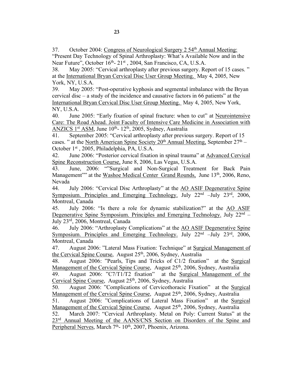37. October 2004: Congress of Neurological Surgery 2 54<sup>th</sup> Annual Meeting: "Present Day Technology of Spinal Arthroplasty: What's Available Now and in the Near Future", October 16<sup>th</sup>- 21<sup>st</sup>, 2004, San Francisco, CA, U.S.A.

38. May 2005: "Cervical arthroplasty after previous surgery. Report of 15 cases. " at the International Bryan Cervical Disc User Group Meeting. May 4, 2005, New York, NY, U.S.A.

39. May 2005: "Post-operative kyphosis and segmental imbalance with the Bryan cervical disc – a study of the incidence and causative factors in 66 patients" at the International Bryan Cervical Disc User Group Meeting. May 4, 2005, New York, NY, U.S.A.

40. June 2005: "Early fixation of spinal fracture: when to cut" at Neurointensive Care: The Road Ahead. Joint Faculty of Intensive Care Medicine in Association with ANZICS 1<sup>st</sup> ASM, June  $10^{th}$ -  $12^{th}$ , 2005, Sydney, Australia

41. September 2005: "Cervical arthroplasty after previous surgery. Report of 15 cases. " at the North American Spine Society  $20<sup>th</sup>$  Annual Meeting, September  $27<sup>th</sup>$  – October 1st , 2005, Philadelphia, PA, U.S.A.

42. June 2006: "Posterior cervical fixation in spinal trauma" at Advanced Cervical Spine Reconstruction Course, June 8, 2006, Las Vegas, U.S.A.

43. June, 2006: ""Surgical and Non-Surgical Treatment for Back Pain Management"" at the Washoe Medical Center Grand Rounds, June 13<sup>th</sup>, 2006, Reno, Nevada

44. July 2006: "Cervical Disc Arthroplasty" at the AO ASIF Degenerative Spine Symposium. Principles and Emerging Technology. July  $22<sup>nd</sup>$  –July  $23<sup>rd</sup>$ , 2006, Montreal, Canada

45. July 2006: "Is there a role for dynamic stabilization?" at the AO ASIF Degenerative Spine Symposium. Principles and Emerging Technology. July 22<sup>nd</sup> – July 23rd, 2006, Montreal, Canada

46. July 2006: "Arthroplasty Complications" at the AO ASIF Degenerative Spine Symposium. Principles and Emerging Technology. July  $22<sup>nd</sup>$  –July  $23<sup>rd</sup>$ , 2006, Montreal, Canada

47. August 2006: "Lateral Mass Fixation: Technique" at Surgical Management of the Cervical Spine Course, August 25<sup>th</sup>, 2006, Sydney, Australia

48. August 2006: "Pearls, Tips and Tricks of C1/2 fixation" at the Surgical Management of the Cervical Spine Course, August 25<sup>th</sup>, 2006, Sydney, Australia

49. August 2006: "C7/T1/T2 fixation" at the Surgical Management of the Cervical Spine Course, August 25<sup>th</sup>, 2006, Sydney, Australia

50. August 2006: "Complications of Cervicothoracic Fixation" at the Surgical Management of the Cervical Spine Course, August 25<sup>th</sup>, 2006, Sydney, Australia

51. August 2006: "Complications of Lateral Mass Fixation" at the Surgical Management of the Cervical Spine Course, August 25<sup>th</sup>, 2006, Sydney, Australia

52. March 2007: "Cervical Arthroplasty. Metal on Poly: Current Status" at the 23<sup>rd</sup> Annual Meeting of the AANS/CNS Section on Disorders of the Spine and Peripheral Nerves, March 7<sup>th</sup>- 10<sup>th</sup>, 2007, Phoenix, Arizona.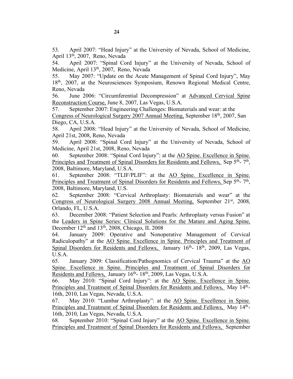53. April 2007: "Head Injury" at the University of Nevada, School of Medicine, April 13th, 2007, Reno, Nevada

54. April 2007: "Spinal Cord Injury" at the University of Nevada, School of Medicine, April 13<sup>th</sup>, 2007, Reno, Nevada

55. May 2007: "Update on the Acute Management of Spinal Cord Injury", May 18<sup>th</sup>, 2007, at the Neurosciences Symposium, Renown Regional Medical Centre, Reno, Nevada

56. June 2006: "Circumferential Decompression" at Advanced Cervical Spine Reconstruction Course, June 8, 2007, Las Vegas, U.S.A.

57. September 2007: Engineering Challenges: Biomaterials and wear: at the Congress of Neurological Surgery 2007 Annual Meeting, September 18<sup>th</sup>, 2007, San Diego, CA, U.S.A.

58. April 2008: "Head Injury" at the University of Nevada, School of Medicine, April 21st, 2008, Reno, Nevada

59. April 2008: "Spinal Cord Injury" at the University of Nevada, School of Medicine, April 21st, 2008, Reno, Nevada

60. September 2008: "Spinal Cord Injury": at the AO Spine. Excellence in Spine. Principles and Treatment of Spinal Disorders for Residents and Fellows, Sep 5<sup>th</sup>- 7<sup>th</sup>, 2008, Baltimore, Maryland, U.S.A.

61. September 2008: "TLIF/PLIF": at the AO Spine. Excellence in Spine. Principles and Treatment of Spinal Disorders for Residents and Fellows, Sep 5<sup>th</sup>- 7<sup>th</sup>, 2008, Baltimore, Maryland, U.S.

62. September 2008: "Cervical Arthroplasty: Biomaterials and wear" at the Congress of Neurological Surgery 2008 Annual Meeting, September 21st, 2008, Orlando, FL, U.S.A.

63. December 2008: "Patient Selection and Pearls: Arthroplasty versus Fusion" at the Leaders in Spine Series: Clinical Solutions for the Mature and Aging Spine, December  $12<sup>th</sup>$  and  $13<sup>th</sup>$ , 2008, Chicago, IL 2008

64. January 2009: Operative and Nonoperative Management of Cervical Radiculopathy" at the AO Spine. Excellence in Spine. Principles and Treatment of Spinal Disorders for Residents and Fellows, January 16<sup>th</sup>- 18<sup>th</sup>, 2009, Las Vegas, U.S.A.

65. January 2009: Classification/Pathognomics of Cervical Trauma" at the AO Spine. Excellence in Spine. Principles and Treatment of Spinal Disorders for Residents and Fellows, January 16<sup>th</sup>- 18<sup>th</sup>, 2009, Las Vegas, U.S.A.

66. May 2010: "Spinal Cord Injury": at the AO Spine. Excellence in Spine. Principles and Treatment of Spinal Disorders for Residents and Fellows, May 14<sup>th</sup>-16th, 2010, Las Vegas, Nevada, U.S.A.

67. May 2010: "Lumbar Arthroplasty": at the AO Spine. Excellence in Spine. Principles and Treatment of Spinal Disorders for Residents and Fellows, May 14<sup>th</sup>-16th, 2010, Las Vegas, Nevada, U.S.A.

68. September 2010: "Spinal Cord Injury" at the AO Spine. Excellence in Spine. Principles and Treatment of Spinal Disorders for Residents and Fellows, September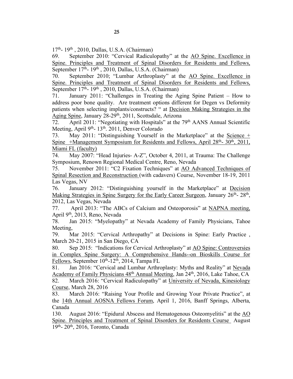17th- 19th , 2010, Dallas, U.S.A. (Chairman)

69. September 2010: "Cervical Radiculopathy" at the AO Spine. Excellence in Spine. Principles and Treatment of Spinal Disorders for Residents and Fellows, September  $17<sup>th</sup>$ - 19<sup>th</sup>, 2010, Dallas, U.S.A. (Chairman)

70. September 2010; "Lumbar Arthroplasty" at the AO Spine. Excellence in Spine. Principles and Treatment of Spinal Disorders for Residents and Fellows, September  $17<sup>th</sup>$ -  $19<sup>th</sup>$ , 2010, Dallas, U.S.A. (Chairman)

71. January 2011: "Challenges in Treating the Aging Spine Patient – How to address poor bone quality. Are treatment options different for Degen vs Deformity patients when selecting implants/constructs? " at Decision Making Strategies in the Aging Spine, January 28-29<sup>th</sup>, 2011, Scottsdale, Arizona

72. April 2011: "Negotiating with Hospitals" at the 79<sup>th</sup> AANS Annual Scientific Meeting, April 9<sup>th</sup>- 13<sup>th</sup>. 2011, Denver Colorado

73. May 2011: "Distinguishing Yourself in the Marketplace" at the Science + Spine +Management Symposium for Residents and Fellows, April 28<sup>th</sup>- 30<sup>th</sup>, 2011, Miami FL (faculty)

74. May 2007: "Head Injuries- A-Z", October 4, 2011, at Trauma: The Challenge Symposium, Renown Regional Medical Centre, Reno, Nevada

75. November 2011: "C2 Fixation Techniques" at AO Advanced Techniques of Spinal Resection and Reconstruction (with cadavers) Course, November 18-19, 2011 Las Vegas, NV

76. January 2012: "Distinguishing yourself in the Marketplace" at Decision Making Strategies in Spine Surgery for the Early Career Surgeon, January 26<sup>th</sup>- 28<sup>th</sup>, 2012, Las Vegas, Nevada

77. April 2013: "The ABCs of Calcium and Osteoporosis" at NAPNA meeting, April 9th, 2013, Reno, Nevada

78. Jan 2015: "Myelopathy" at Nevada Academy of Family Physicians, Tahoe Meeting,

79. Mar 2015: "Cervical Arthropathy" at Decisions in Spine: Early Practice , March 20-21, 2015 in San Diego, CA

80. Sep 2015: "Indications for Cervical Arthroplasty" at AO Spine: Controversies in Complex Spine Surgery: A Comprehensive Hands--on Bioskills Course for Fellows, September  $10^{th}$ -12<sup>th</sup>, 2014, Tampa FL

81. Jan 2016: "Cervical and Lumbar Arthroplasty: Myths and Reality" at Nevada Academy of Family Physicians 48th Annual Meeting, Jan 24th, 2016, Lake Tahoe, CA

82. March 2016: "Cervical Radiculopathy" at University of Nevada, Kinesiology Course, March 28, 2016

83. March 2016: "Raising Your Profile and Growing Your Private Practice", at the 14th Annual AOSNA Fellows Forum, April 1, 2016, Banff Springs, Alberta, Canada

130. August 2016: "Epidural Abscess and Hematogenous Osteomyelitis" at the AO Spine. Principles and Treatment of Spinal Disorders for Residents Course August 19<sup>th</sup>- 20<sup>th</sup>, 2016, Toronto, Canada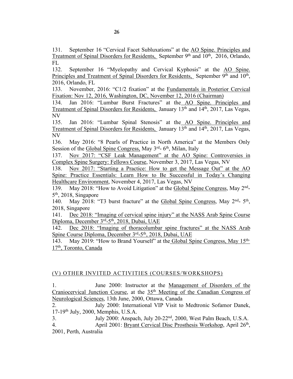131. September 16 "Cervical Facet Subluxations" at the AO Spine. Principles and Treatment of Spinal Disorders for Residents, September 9<sup>th</sup> and 10<sup>th</sup>, 2016, Orlando, FL

132. September 16 "Myelopathy and Cervical Kyphosis" at the AO Spine. Principles and Treatment of Spinal Disorders for Residents, September 9<sup>th</sup> and 10<sup>th</sup>, 2016, Orlando, FL

133. November, 2016: "C1/2 fixation" at the Fundamentals in Posterior Cervical Fixation: Nov 12, 2016, Washington, DC, November 12, 2016 (Chairman)

134. Jan 2016: "Lumbar Burst Fractures" at the AO Spine. Principles and Treatment of Spinal Disorders for Residents, January 13th and 14th, 2017, Las Vegas, NV

135. Jan 2016: "Lumbar Spinal Stenosis" at the AO Spine. Principles and Treatment of Spinal Disorders for Residents, January 13th and 14th, 2017, Las Vegas, NV

136. May 2016: "8 Pearls of Practice in North America" at the Members Only Session of the Global Spine Congress, May  $3<sup>rd</sup>$ - 6<sup>th</sup>, Milan, Italy

137. Nov 2017: "CSF Leak Management" at the AO Spine: Controversies in Complex Spine Surgery: Fellows Course, November 3, 2017, Las Vegas, NV

138. Nov 2017: "Starting a Practice: How to get the Message Out" at the AO Spine: Practice Essentials: Learn How to Be Successful in Today's Changing Healthcare Environment, November 4, 2017, Las Vegas, NV

139. May 2018: "How to Avoid Litigation" at the Global Spine Congress, May 2nd-5th, 2018, Singapore

140. May 2018: "T3 burst fracture" at the Global Spine Congress, May 2<sup>nd</sup>- 5<sup>th</sup>, 2018, Singapore

141. Dec 2018: "Imaging of cervical spine injury" at the NASS Arab Spine Course Diploma, December 3<sup>rd</sup>-5<sup>th</sup>, 2018, Dubai, UAE

142. Dec 2018: "Imaging of thoracolumbar spine fractures" at the NASS Arab Spine Course Diploma, December 3rd-5th, 2018, Dubai, UAE

143. May 2019: "How to Brand Yourself" at the Global Spine Congress, May 15<sup>th-1</sup> 17th, Toronto, Canada

# (V) OTHER INVITED ACTIVITIES (COURSES/WORKSHOPS)

1. June 2000: Instructor at the Management of Disorders of the Craniocervical Junction Course, at the 35<sup>th</sup> Meeting of the Canadian Congress of Neurological Sciences, 13th June, 2000, Ottawa, Canada

2. July 2000: International VIP Visit to Medtronic Sofamor Danek, 17-19th July, 2000, Memphis, U.S.A.

3. July 2000: Anspach, July 20-22nd, 2000, West Palm Beach, U.S.A. 4. April 2001: Bryant Cervical Disc Prosthesis Workshop, April 26<sup>th</sup>, 2001, Perth, Australia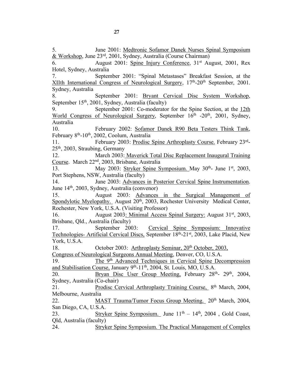5. June 2001: Medtronic Sofamor Danek Nurses Spinal Symposium & Workshop, June 23rd, 2001, Sydney, Australia (Course Chairman) 6. August 2001: Spine Injury Conference, 31st August, 2001, Rex Hotel, Sydney, Australia 7. September 2001: "Spinal Metastases" Breakfast Session, at the XIIth International Congress of Neurological Surgery, 17<sup>th</sup>-20<sup>th</sup> September, 2001. Sydney, Australia 8. September 2001: Bryant Cervical Disc System Workshop, September 15<sup>th</sup>, 2001, Sydney, Australia (faculty) 9. September 2001: Co-moderator for the Spine Section, at the 12th World Congress of Neurological Surgery, September 16<sup>th</sup> -20<sup>th</sup>, 2001, Sydney, Australia 10. February 2002: Sofamor Danek R90 Beta Testers Think Tank, February 8th-10th, 2002, Coolum, Australia 11. February 2003: Prodisc Spine Arthroplasty Course. February 23rd-25th, 2003, Straubing, Germany 12. March 2003: Maverick Total Disc Replacement Inaugural Training Course. March 22nd, 2003, Brisbane, Australia 13. May 2003: Stryker Spine Symposium. May 30<sup>th</sup>- June 1<sup>st</sup>, 2003, Port Stephens, NSW, Australia (faculty) 14. June 2003: Advances in Posterior Cervical Spine Instrumentation. June 14th, 2003, Sydney, Australia (convenor) 15. August 2003: Advances in the Surgical Management of Spondylotic Myelopathy. August 20<sup>th</sup>, 2003, Rochester University Medical Center, Rochester, New York, U.S.A. (Visiting Professor) 16. August 2003: Minimal Access Spinal Surgery: August 31<sup>st</sup>, 2003, Brisbane, Qld., Australia (faculty) 17. September 2003: Cervical Spine Symposium: Innovative Technologies- Artificial Cervical Discs, September 18th-21st, 2003, Lake Placid, New York, U.S.A. 18. October 2003: Arthroplasty Seminar, 20<sup>th</sup> October, 2003, Congress of Neurological Surgeons Annual Meeting, Denver, CO, U.S.A. 19. The 9th Advanced Techniques in Cervical Spine Decompression and Stabilisation Course, January 9<sup>th</sup>-11<sup>th</sup>, 2004, St. Louis, MO, U.S.A. 20. Bryan Disc User Group Meeting, February  $28<sup>th</sup>$ -  $29<sup>th</sup>$ ,  $2004$ , Sydney, Australia (Co-chair) 21. Prodisc Cervical Arthroplasty Training Course, 8<sup>th</sup> March, 2004, Melbourne, Australia 22. MAST Trauma/Tumor Focus Group Meeting. 20<sup>th</sup> March, 2004, San Diego, CA, U.S.A. 23. Stryker Spine Symposium. June  $11<sup>th</sup> - 14<sup>th</sup>$ , 2004, Gold Coast, Qld, Australia (faculty) 24. Stryker Spine Symposium. The Practical Management of Complex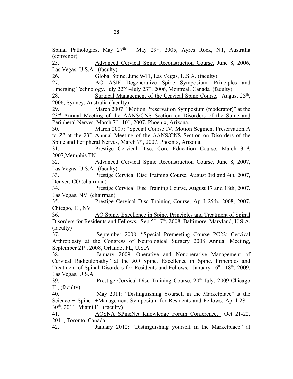Spinal Pathologies, May  $27<sup>th</sup>$  – May  $29<sup>th</sup>$ , 2005, Ayres Rock, NT, Australia (convenor) 25. Advanced Cervical Spine Reconstruction Course, June 8, 2006, Las Vegas, U.S.A. (faculty) 26. Global Spine, June 9-11, Las Vegas, U.S.A. (faculty) 27. AO ASIF Degenerative Spine Symposium. Principles and Emerging Technology. July 22nd –July 23rd, 2006, Montreal, Canada (faculty) 28. Surgical Management of the Cervical Spine Course, August 25<sup>th</sup>, 2006, Sydney, Australia (faculty) 29. March 2007: "Motion Preservation Symposium (moderator)" at the 23<sup>rd</sup> Annual Meeting of the AANS/CNS Section on Disorders of the Spine and Peripheral Nerves, March  $7<sup>th</sup>$ - 10<sup>th</sup>, 2007, Phoenix, Arizona. 30. March 2007: "Special Course IV. Motion Segment Preservation A to Z" at the 23rd Annual Meeting of the AANS/CNS Section on Disorders of the Spine and Peripheral Nerves, March 7<sup>th</sup>, 2007, Phoenix, Arizona. 31. Prestige Cervical Disc: Core Education Course, March 31st, 2007,Memphis TN 32. Advanced Cervical Spine Reconstruction Course, June 8, 2007, Las Vegas, U.S.A. (faculty) 33. Prestige Cervical Disc Training Course, August 3rd and 4th, 2007, Denver, CO (chairman) 34. Prestige Cervical Disc Training Course, August 17 and 18th, 2007, Las Vegas, NV, (chairman) 35. Prestige Cervical Disc Training Course, April 25th, 2008, 2007, Chicago, IL, NV 36. AO Spine. Excellence in Spine. Principles and Treatment of Spinal Disorders for Residents and Fellows, Sep  $5<sup>th</sup>$ -  $7<sup>th</sup>$ , 2008, Baltimore, Maryland, U.S.A. (faculty) 37. September 2008: "Special Premeeting Course PC22: Cervical Arthroplasty at the Congress of Neurological Surgery 2008 Annual Meeting, September 21st, 2008, Orlando, FL, U.S.A. 38. January 2009: Operative and Nonoperative Management of Cervical Radiculopathy" at the AO Spine. Excellence in Spine. Principles and Treatment of Spinal Disorders for Residents and Fellows, January 16th- 18th, 2009, Las Vegas, U.S.A. 39. Prestige Cervical Disc Training Course, 20th July, 2009 Chicago IL, (faculty) 40. May 2011: "Distinguishing Yourself in the Marketplace" at the Science + Spine +Management Symposium for Residents and Fellows, April  $28<sup>th</sup>$ - $30<sup>th</sup>$ , 2011, Miami FL (faculty) 41. AOSNA SPineNet Knowledge Forum Conference, Oct 21-22, 2011, Toronto, Canada

42. January 2012: "Distinguishing yourself in the Marketplace" at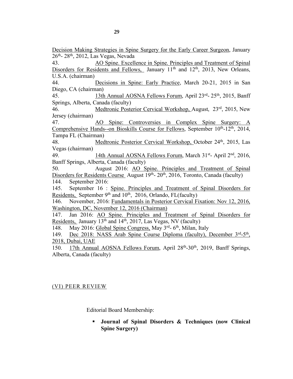Decision Making Strategies in Spine Surgery for the Early Career Surgeon, January  $26<sup>th</sup>$ -  $28<sup>th</sup>$ ,  $2012$ , Las Vegas, Nevada

43. AO Spine. Excellence in Spine. Principles and Treatment of Spinal Disorders for Residents and Fellows, January  $11<sup>th</sup>$  and  $12<sup>th</sup>$ , 2013, New Orleans, U.S.A. (chairman)

44. Decisions in Spine: Early Practice, March 20-21, 2015 in San Diego, CA (chairman)

45. 13th Annual AOSNA Fellows Forum, April 23rd- 25th, 2015, Banff Springs, Alberta, Canada (faculty)

46. Medtronic Posterior Cervical Workshop, August, 23rd, 2015, New Jersey (chairman)

47. AO Spine: Controversies in Complex Spine Surgery: A Comprehensive Hands--on Bioskills Course for Fellows, September 10<sup>th</sup>-12<sup>th</sup>, 2014, Tampa FL (Chairman)

48. Medtronic Posterior Cervical Workshop, October 24<sup>th</sup>, 2015, Las Vegas (chairman)

49. 14th Annual AOSNA Fellows Forum, March 31<sup>st</sup>- April 2<sup>nd</sup>, 2016, Banff Springs, Alberta, Canada (faculty)

50. August 2016: AO Spine. Principles and Treatment of Spinal Disorders for Residents Course August 19<sup>th</sup>- 20<sup>th</sup>, 2016, Toronto, Canada (faculty) 144. September 2016:

145. September 16 : Spine. Principles and Treatment of Spinal Disorders for Residents, September 9<sup>th</sup> and 10<sup>th</sup>, 2016, Orlando, FL(faculty)

146. November, 2016: Fundamentals in Posterior Cervical Fixation: Nov 12, 2016, Washington, DC, November 12, 2016 (Chairman)

147. Jan 2016: AO Spine. Principles and Treatment of Spinal Disorders for Residents, January  $13<sup>th</sup>$  and  $14<sup>th</sup>$ , 2017, Las Vegas, NV (faculty)

148. May 2016: Global Spine Congress, May 3<sup>rd</sup>- 6<sup>th</sup>, Milan, Italy

149. Dec 2018: NASS Arab Spine Course Diploma (faculty), December 3rd-5th, 2018, Dubai, UAE

150. 17th Annual AOSNA Fellows Forum, April 28<sup>th</sup>-30<sup>th</sup>, 2019, Banff Springs, Alberta, Canada (faculty)

# (VI) PEER REVIEW

Editorial Board Membership:

§ **Journal of Spinal Disorders & Techniques (now Clinical Spine Surgery)**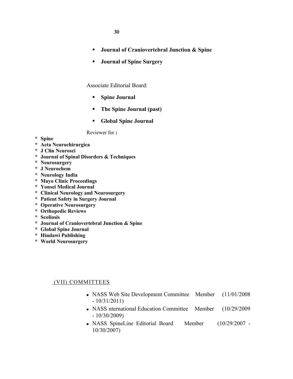30 **30**

- § **Journal of Craniovertebral Junction & Spine**
- § **Journal of Spine Surgery**

Associate Editorial Board:

- § **Spine Journal**
- § **The Spine Journal (past)**
- § **Global Spine Journal**

Reviewer for **:**

- **\* Spine**
- **\* Acta Neurochirurgica**
- **\* J Clin Neurosci**
- **\* Journal of Spinal Disorders & Techniques**
- **\* Neurosurgery**
- **\* J Neurochem**
- **\* Neurology India**
- **\* Mayo Clinic Proceedings**
- **\* Yonsei Medical Journal**
- **\* Clinical Neurology and Neurosurgery**
- **\* Patient Safety in Surgery Journal**
- **\* Operative Neurosurgery**
- **\* Orthopedic Reviews**
- **\* Scoliosis**
- **\* Journal of Craniovertebral Junction & Spine**
- **\* Global Spine Journal**
- **\* Hindawi Publishing**
- **\* World Neurosurgery**

## (VII) COMMITTEES

- <sup>n</sup> NASS Web Site Development Committee Member (11/01/2008 - 10/31/2011)
- <sup>n</sup> NASS nternational Education Committee Member (10/29/2009 - 10/30/2009)
- <sup>n</sup> NASS SpineLine Editorial Board Member (10/29/2007 10/30/2007)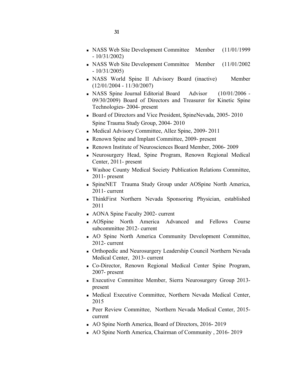- <sup>n</sup> NASS Web Site Development Committee Member (11/01/1999 - 10/31/2002)
- <sup>n</sup> NASS Web Site Development Committee Member (11/01/2002 - 10/31/2005)
- <sup>n</sup> NASS World Spine II Advisory Board (inactive) Member (12/01/2004 - 11/30/2007)
- <sup>n</sup> NASS Spine Journal Editorial Board Advisor (10/01/2006 09/30/2009) Board of Directors and Treasurer for Kinetic Spine Technologies- 2004- present
- Board of Directors and Vice President, SpineNevada, 2005-2010 Spine Trauma Study Group, 2004- 2010
- <sup>n</sup> Medical Advisory Committee, Allez Spine, 2009- 2011
- Renown Spine and Implant Committee, 2009- present
- Renown Institute of Neurosciences Board Member, 2006-2009
- <sup>n</sup> Neurosurgery Head, Spine Program, Renown Regional Medical Center, 2011- present
- <sup>n</sup> Washoe County Medical Society Publication Relations Committee, 2011- present
- <sup>n</sup> SpineNET Trauma Study Group under AOSpine North America, 2011- current
- <sup>n</sup> ThinkFirst Northern Nevada Sponsoring Physician, established 2011
- AONA Spine Faculty 2002- current
- <sup>n</sup> AOSpine North America Advanced and Fellows Course subcommittee 2012- current
- <sup>n</sup> AO Spine North America Community Development Committee, 2012- current
- <sup>n</sup> Orthopedic and Neurosurgery Leadership Council Northern Nevada Medical Center, 2013- current
- <sup>n</sup> Co-Director, Renown Regional Medical Center Spine Program, 2007- present
- <sup>n</sup> Executive Committee Member, Sierra Neurosurgery Group 2013 present
- <sup>n</sup> Medical Executive Committee, Northern Nevada Medical Center, 2015
- n Peer Review Committee, Northern Nevada Medical Center, 2015current
- n AO Spine North America, Board of Directors, 2016-2019
- <sup>n</sup> AO Spine North America, Chairman of Community , 2016- 2019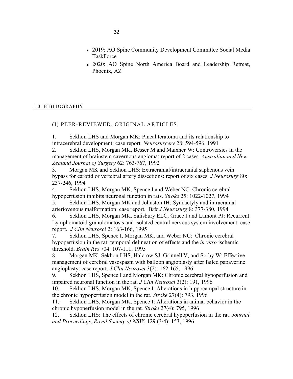- n 2019: AO Spine Community Development Committee Social Media TaskForce
- <sup>n</sup> 2020: AO Spine North America Board and Leadership Retreat, Phoenix, AZ

## 10. BIBLIOGRAPHY

## (I) PEER-REVIEWED, ORIGINAL ARTICLES

1. Sekhon LHS and Morgan MK: Pineal teratoma and its relationship to intracerebral development: case report. *Neurosurgery* 28: 594-596, 1991

2. Sekhon LHS, Morgan MK, Besser M and Maixner W: Controversies in the management of brainstem cavernous angioma: report of 2 cases. *Australian and New Zealand Journal of Surgery* 62: 763-767, 1992

3. Morgan MK and Sekhon LHS: Extracranial/intracranial saphenous vein bypass for carotid or vertebral artery dissections: report of six cases. *J Neurosurg* 80: 237-246, 1994

4. Sekhon LHS, Morgan MK, Spence I and Weber NC: Chronic cerebral hypoperfusion inhibits neuronal function in rats. *Stroke* 25: 1022-1027, 1994

5. Sekhon LHS, Morgan MK and Johnston IH: Syndactyly and intracranial arteriovenous malformation: case report. B*rit J Neurosurg* 8: 377-380, 1994

6. Sekhon LHS, Morgan MK, Salisbury ELC, Grace J and Lamont PJ: Recurrent Lymphomatoid granulomatosis and isolated central nervous system involvement: case report. *J Clin Neurosci* 2: 163-166, 1995

7. Sekhon LHS, Spence I, Morgan MK, and Weber NC: Chronic cerebral hypoperfusion in the rat: temporal delineation of effects and the *in vitro* ischemic threshold. *Brain Res* 704: 107-111, 1995

8. Morgan MK, Sekhon LHS, Halcrow SJ, Grinnell V, and Sorby W: Effective management of cerebral vasospasm with balloon angioplasty after failed papaverine angioplasty: case report. *J Clin Neurosci* 3(2): 162-165, 1996

9. Sekhon LHS, Spence I and Morgan MK: Chronic cerebral hypoperfusion and impaired neuronal function in the rat. *J Clin Neurosci* 3(2): 191, 1996

10. Sekhon LHS, Morgan MK, Spence I: Alterations in hippocampal structure in the chronic hypoperfusion model in the rat. *Stroke* 27(4): 793, 1996

11. Sekhon LHS, Morgan MK, Spence I: Alterations in animal behavior in the chronic hypoperfusion model in the rat. *Stroke* 27(4): 795, 1996

12. Sekhon LHS: The effects of chronic cerebral hypoperfusion in the rat*. Journal and Proceedings, Royal Society of NSW*, 129 (3/4): 153, 1996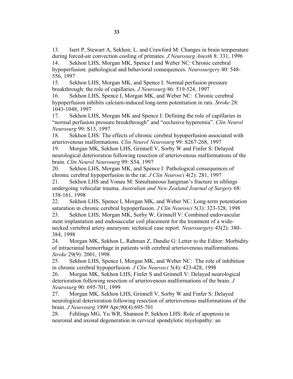13. Isert P, Stewart A, Sekhon, L. and Crawford M: Changes in brain temperature during forced-air convection cooling of primates. *J Neurosurg Anesth* 8: 331, 1996 14. Sekhon LHS, Morgan MK, Spence I and Weber NC: Chronic cerebral

hypoperfusion: pathological and behavioral consequences. *Neurosurgery* 40: 548- 556, 1997

15. Sekhon LHS, Morgan MK, and Spence I: Normal perfusion pressure breakthrough: the role of capillaries. *J Neurosurg* 86: 519-524, 1997

16. Sekhon LHS, Spence I, Morgan MK, and Weber NC: Chronic cerebral hypoperfusion inhibits calcium-induced long-term potentiation in rats. *Stroke* 28: 1043-1048, 1997

17. Sekhon LHS, Morgan MK and Spence I: Defining the role of capillaries in "normal perfusion pressure breakthrough" and "occlusive hyperemia". *Clin Neurol Neurosurg* 99: S13, 1997

18. Sekhon LHS: The effects of chronic cerebral hypoperfusion associated with arteriovenous malformations. *Clin Neurol Neurosurg* 99: S267-268, 1997

19. Morgan MK, Sekhon LHS, Grinnell V, Sorby W and Finfer S: Delayed neurological deterioration following resection of arteriovenous malformations of the brain. *Clin Neurol Neurosurg* 99: S54, 1997

20. Sekhon LHS, Morgan MK, and Spence I: Pathological consequences of chronic cerebral hypoperfusion in the rat. *J Clin Neurosci* 4(2): 281, 1997

21. Sekhon LHS and Vonau M: Simultaneous hangman's fracture in siblings undergoing vehicular trauma. *Australian and New Zealand Journal of Surgery* 68: 158-161, 1998

22. Sekhon LHS, Spence I, Morgan MK, and Weber NC: Long-term potentiation saturation in chronic cerebral hypoperfusion. *J Clin Neurosci* 5(3): 323-328, 1998 23. Sekhon LHS, Morgan MK, Sorby W, Grinnell V: Combined endovascular

stent implantation and endosaccular coil placement for the treatment of a widenecked vertebral artery aneurysm: technical case report. *Neurosurgery* 43(2): 380- 384, 1998

24. Morgan MK, Sekhon L, Rahman Z, Dandie G: Letter to the Editor: Morbidity of intracranial hemorrhage in patients with cerebral arteriovenous malformations. *Stroke* 29(9): 2001, 1998

25. Sekhon LHS, Spence I, Morgan MK, and Weber NC: The role of inhibition in chronic cerebral hypoperfusion. *J Clin Neurosci* 5(4): 423-428, 1998

26. Morgan MK, Sekhon LHS, Finfer S and Grinnell V: Delayed neurological deterioration following resection of arteriovenous malformations of the brain. *J Neurosurg* 90: 695-701, 1999

27. Morgan MK, Sekhon LHS, Grinnell V, Sorby W and Finfer S: Delayed neurological deterioration following resection of arteriovenous malformations of the brain. *J Neurosurg* 1999 Apr;90(4):695-701

28. Fehlings MG, Yu WR, Shannon P, Sekhon LHS: Role of apoptosis in neuronal and axonal degeneration in cervical spondylotic myelopathy: an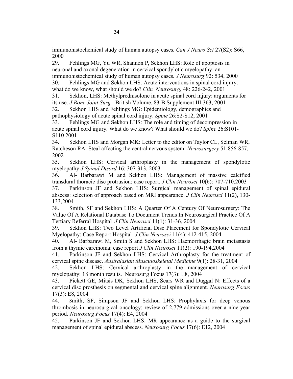immunohistochemical study of human autopsy cases. *Can J Neuro Sci* 27(S2): S66, 2000

29. Fehlings MG, Yu WR, Shannon P, Sekhon LHS: Role of apoptosis in neuronal and axonal degeneration in cervical spondylotic myelopathy: an immunohistochemical study of human autopsy cases. *J Neurosurg* 92: 534, 2000

30. Fehlings MG and Sekhon LHS: Acute interventions in spinal cord injury: what do we know, what should we do? *Clin Neurosurg*, 48: 226-242, 2001

31. Sekhon, LHS: Methylprednisolone in acute spinal cord injury: arguments for its use. *J Bone Joint Surg* - British Volume. 83-B Supplement III:363, 2001

32. Sekhon LHS and Fehlings MG: Epidemiology, demographics and pathophysiology of acute spinal cord injury. *Spine* 26:S2-S12, 2001

33. Fehlings MG and Sekhon LHS: The role and timing of decompression in acute spinal cord injury. What do we know? What should we do? *Spine* 26:S101- S110 2001

34. Sekhon LHS and Morgan MK: Letter to the editor on Taylor CL, Selman WR, Ratcheson RA: Steal affecting the central nervous system. *Neurosurgery* 51:856-857, 2002

35. Sekhon LHS: Cervical arthroplasty in the management of spondylotic myelopathy *J Spinal Disord* 16: 307-313, 2003

36. Al- Barbarawi M and Sekhon LHS: Management of massive calcified transdural thoracic disc protrusion: case report. *J Clin Neurosci* 10(6): 707-710,2003 37. Parkinson JF and Sekhon LHS: Surgical management of spinal epidural

abscess: selection of approach based on MRI appearance. *J Clin Neurosci* 11(2), 130- 133,2004

38. Smith, SF and Sekhon LHS: A Quarter Of A Century Of Neurosurgery: The Value Of A Relational Database To Document Trends In Neurosurgical Practice Of A Tertiary Referral Hospital *J Clin Neurosci* 11(1): 31-36, 2004

39. Sekhon LHS: Two Level Artificial Disc Placement for Spondylotic Cervical Myelopathy: Case Report Hospital *J Clin Neurosci* 11(4): 412-415, 2004

40. Al- Barbarawi M, Smith S and Sekhon LHS: Haemorrhagic brain metastasis from a thymic carcinoma: case report *J Clin Neurosci* 11(2): 190-194,2004

41. Parkinson JF and Sekhon LHS: Cervical Arthroplasty for the treatment of cervical spine disease. *Australasian Musculoskeletal Medicine* 9(1): 28-31, 2004

42. Sekhon LHS: Cervical arthroplasty in the management of cervical myelopathy: 18 month results. Neurosurg Focus 17(3): E8, 2004

43. Pickett GE, Mitsis DK, Sekhon LHS, Sears WR and Duggal N: Effects of a cervical disc prosthesis on segmental and cervical spine alignment. *Neurosurg Focus* 17(3): E8, 2004

44. Smith, SF, Simpson JF and Sekhon LHS: Prophylaxis for deep venous thrombosis in neurosurgical oncology: review of 2,779 admissions over a nine-year period. *Neurosurg Focus* 17(4): E4, 2004

45. Parkinson JF and Sekhon LHS: MR appearance as a guide to the surgical management of spinal epidural abscess. *Neurosurg Focus* 17(6): E12, 2004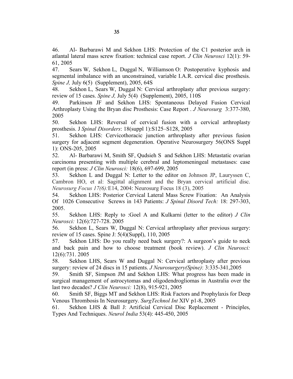46. Al- Barbarawi M and Sekhon LHS: Protection of the C1 posterior arch in atlantal lateral mass screw fixation: technical case report. *J Clin Neurosci* 12(1): 59- 61, 2005

47. Sears W, Sekhon L, Duggal N, Williamson O: Postoperative kyphosis and segmental imbalance with an unconstrained, variable I.A.R. cervical disc prosthesis. *Spine J, July 6(5)* (Supplement), 2005, 64S

48. Sekhon L, Sears W, Duggal N: Cervical arthroplasty after previous surgery: review of 15 cases. *Spine J,* July 5(4) (Supplement), 2005, 110S

49. Parkinson JF and Sekhon LHS: Spontaneous Delayed Fusion Cervical Arthroplasty Using the Bryan disc Prosthesis: Case Report . *J Neurosurg* 3:377-380, 2005

50. Sekhon LHS: Reversal of cervical fusion with a cervical arthroplasty prosthesis. J *Spinal Disorders*: 18(suppl 1):S125–S128, 2005

51. Sekhon LHS: Cervicothoracic junction arthroplasty after previous fusion surgery for adjacent segment degeneration. Operative Neurosurgery 56(ONS Suppl 1): ONS-205, 2005

52. Al- Barbarawi M, Smith SF, Qudsieh S and Sekhon LHS: Metastatic ovarian carcinoma presenting with multiple cerebral and leptomeningeal metastases: case report (in press: *J Clin Neurosci:* 18(6), 697-699, 2005

53. Sekhon L and Duggal N: Letter to the editor on Johnson JP, Lauryssen C, Cambron HO, et al: Sagittal alignment and the Bryan cervical artificial disc. *Neurosurg Focus 17(6):*E14, 2004: Neurosurg Focus 18 (3), 2005

54. Sekhon LHS: Posterior Cervical Lateral Mass Screw Fixation: An Analysis Of 1026 Consecutive Screws in 143 Patients: *J Spinal Disord Tech:* 18: 297-303, 2005.

55. Sekhon LHS: Reply to :Goel A and Kulkarni (letter to the editor) *J Clin Neurosci:* 12(6):727-728. 2005

56. Sekhon L, Sears W, Duggal N: Cervical arthroplasty after previous surgery: review of 15 cases. Spine J: 5(4)(Suppl), 110, 2005

57. Sekhon LHS: Do you really need back surgery?: A surgeon's guide to neck and back pain and how to choose treatment (book review). *J Clin Neurosci:* 12(6):731. 2005

58. Sekhon LHS, Sears W and Duggal N: Cervical arthroplasty after previous surgery: review of 24 discs in 15 patients. *J Neurosurgery(Spine)*: 3:335-341,2005

59. Smith SF, Simpson JM and Sekhon LHS: What progress has been made in surgical management of astrocytomas and oligodendrogliomas in Australia over the last two decades? *J Clin Neurosci:* 12(8), 915-921, 2005

60. Smith SF, Biggs MT and Sekhon LHS: Risk Factors and Prophylaxis for Deep Venous Thrombosis In Neurosurgery. *SurgTechnol Int* XIV p1-8, 2005

61. Sekhon LHS & Ball J: Artificial Cervical Disc Replacement - Principles, Types And Techniques. *Neurol India* 53(4): 445-450, 2005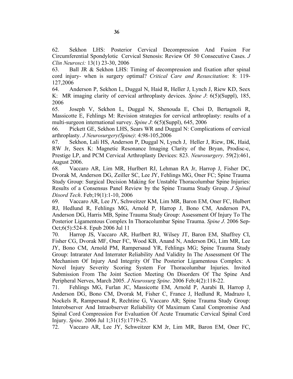62. Sekhon LHS: Posterior Cervical Decompression And Fusion For Circumferential Spondylotic Cervical Stenosis: Review Of 50 Consecutive Cases. *J Clin Neurosci:* 13(1) 23-30, 2006

63. Ball JR & Sekhon LHS: Timing of decompression and fixation after spinal cord injury- when is surgery optimal? *Critical Care and Resuscitation*: 8: 119- 127,2006

64. Anderson P, Sekhon L, Duggal N, Haid R, Heller J, Lynch J, Riew KD, Seex K: MR imaging clarity of cervical arthroplasty devices. *Spine J*: 6(5)(Suppl), 185, 2006

65. Joseph V, Sekhon L, Duggal N, Shenouda E, Choi D, Bertagnoli R, Massicotte E, Fehlings M: Revision strategies for cervical arthroplasty: results of a multi-surgeon international survey. *Spine J*: 6(5)(Suppl), 645, 2006

66. Pickett GE, Sekhon LHS, Sears WR and Duggal N: Complications of cervical arthroplasty. *J Neurosurgery(Spine)*: 4:98-105,2006

67. Sekhon, Lali HS, Anderson P, Duggal N, Lynch J, Heller J, Riew, DK, Haid, RW Jr, Seex K: Magnetic Resonance Imaging Clarity of the Bryan, Prodisc-c, Prestige LP, and PCM Cervical Arthroplasty Devices: 823. *Neurosurgery*. 59(2):461, August 2006.

68. Vaccaro AR, Lim MR, Hurlbert RJ, Lehman RA Jr, Harrop J, Fisher DC, Dvorak M, Anderson DG, Zeiller SC, Lee JY, Fehlings MG, Oner FC; Spine Trauma Study Group: Surgical Decision Making for Unstable Thoracolumbar Spine Injuries: Results of a Consensus Panel Review by the Spine Trauma Study Group. *J Spinal Disord Tech*. Feb;19(1):1-10, 2006

69. Vaccaro AR, Lee JY, Schweitzer KM, Lim MR, Baron EM, Oner FC, Hulbert RJ, Hedlund R, Fehlings MG, Arnold P, Harrop J, Bono CM, Anderson PA, Anderson DG, Harris MB, Spine Trauma Study Group: Assessment Of Injury To The Posterior Ligamentous Complex In Thoracolumbar Spine Trauma. *Spine J*. 2006 Sep-Oct;6(5):524-8. Epub 2006 Jul 11

70. Harrop JS, Vaccaro AR, Hurlbert RJ, Wilsey JT, Baron EM, Shaffrey CI, Fisher CG, Dvorak MF, Oner FC, Wood KB, Anand N, Anderson DG, Lim MR, Lee JY, Bono CM, Arnold PM, Rampersaud YR, Fehlings MG; Spine Trauma Study Group: Intrarater And Interrater Reliability And Validity In The Assessment Of The Mechanism Of Injury And Integrity Of The Posterior Ligamentous Complex: A Novel Injury Severity Scoring System For Thoracolumbar Injuries. Invited Submission From The Joint Section Meeting On Disorders Of The Spine And Peripheral Nerves, March 2005. *J Neurosurg Spine*. 2006 Feb;4(2):118-22.

71. Fehlings MG, Furlan JC, Massicotte EM, Arnold P, Aarabi B, Harrop J, Anderson DG, Bono CM, Dvorak M, Fisher C, France J, Hedlund R, Madrazo I, Nockels R, Rampersaud R, Rechtine G, Vaccaro AR; Spine Trauma Study Group: Interobserver And Intraobserver Reliability Of Maximum Canal Compromise And Spinal Cord Compression For Evaluation Of Acute Traumatic Cervical Spinal Cord Injury. *Spine*. 2006 Jul 1;31(15):1719-25.

72. Vaccaro AR, Lee JY, Schweitzer KM Jr, Lim MR, Baron EM, Oner FC,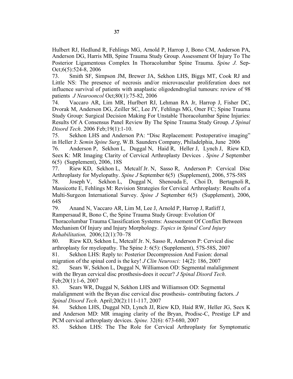Hulbert RJ, Hedlund R, Fehlings MG, Arnold P, Harrop J, Bono CM, Anderson PA, Anderson DG, Harris MB, Spine Trauma Study Group. Assessment Of Injury To The Posterior Ligamentous Complex In Thoracolumbar Spine Trauma. *Spine J*. Sep-Oct;6(5):524-8, 2006

73. Smith SF, Simpson JM, Brewer JA, Sekhon LHS, Biggs MT, Cook RJ and Little NS: The presence of necrosis and/or microvascular proliferation does not influence survival of patients with anaplastic oligodendroglial tumours: review of 98 patients *J Neurooncol* Oct;80(1):75-82, 2006

74. Vaccaro AR, Lim MR, Hurlbert RJ, Lehman RA Jr, Harrop J, Fisher DC, Dvorak M, Anderson DG, Zeiller SC, Lee JY, Fehlings MG, Oner FC; Spine Trauma Study Group: Surgical Decision Making For Unstable Thoracolumbar Spine Injuries: Results Of A Consensus Panel Review By The Spine Trauma Study Group. *J Spinal Disord Tech*. 2006 Feb;19(1):1-10.

75. Sekhon LHS and Anderson PA: "Disc Replacement: Postoperative imaging" in Heller J: *Semin Spine Surg*, W.B. Saunders Company, Philadelphia, June 2006

76. Anderson P, Sekhon L, Duggal N, Haid R, Heller J, Lynch J, Riew KD, Seex K: MR Imaging Clarity of Cervical Arthroplasty Devices . *Spine J* September 6(5) (Supplement), 2006, 18S

77. Riew KD, Sekhon L, Metcalf Jr. N, Sasso R, Anderson P: Cervical Disc Arthroplasty for Myelopathy. *Spine J* September 6(5) (Supplement), 2006, 57S-58S 78. Joseph V, Sekhon L, Duggal N, Shenouda E, Choi D, Bertagnoli R, Massicotte E, Fehlings M: Revision Strategies for Cervical Arthroplasty: Results of a Multi-Surgeon International Survey. *Spine J* September 6(5) (Supplement), 2006, 64S

79. Anand N, Vaccaro AR, Lim M, Lee J, Arnold P, Harrop J, Ratliff J, Rampersaud R, Bono C, the Spine Trauma Study Group: Evolution Of Thoracolumbar Trauma Classification Systems: Assessement Of Conflict Between Mechanism Of Injury and Injury Morphology. *Topics in Spinal Cord Injury Rehabilitation,* 2006;12(1):70–78

80. Riew KD, Sekhon L, Metcalf Jr. N, Sasso R, Anderson P: Cervical disc arthroplasty for myelopathy. The Spine J: 6(5): (Supplement), 57S-58S, 2007 81. Sekhon LHS: Reply to: Posterior Decompression And Fusion: dorsal

migration of the spinal cord is the key! *J Clin Neurosci:* 14(2): 186, 2007 82. Sears W, Sekhon L, Duggal N, Williamson OD: Segmental malalignment

with the Bryan cervical disc prosthesis-does it occur? *J Spinal Disord Tech*. Feb;20(1):1-6, 2007

83. Sears WR, Duggal N, Sekhon LHS and Williamson OD: Segmental malalignment with the Bryan disc cervical disc prosthesis- contributing factors. *J Spinal Disord Tech*. April;20(2):111-117, 2007

84. Sekhon LHS, Duggal ND, Lynch JJ, Riew KD, Haid RW, Heller JG, Seex K and Anderson MD: MR imaging clarity of the Bryan, Prodisc-C, Prestige LP and PCM cervical arthroplasty devices. *Spine.* 32(6): 673-680, 2007

85. Sekhon LHS: The The Role for Cervical Arthroplasty for Symptomatic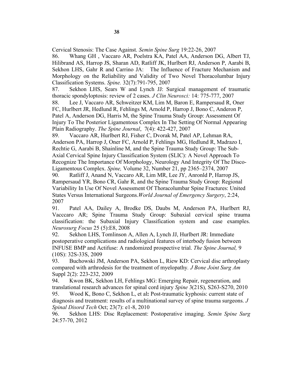Cervical Stenosis: The Case Against. *Semin Spine Surg* 19:22-26, 2007

86. Whang GH , Vaccaro AR, Poelstra KA, Patel AA, Anderson DG, Albert TJ, Hilibrand AS, Harrop JS, Sharan AD, Ratliff JK, Hurlbert RJ, Anderson P, Aarabi B, Sekhon LHS, Gahr R and Carrino JA: The Influence of Fracture Mechanism and Morphology on the Reliability and Validity of Two Novel Thoracolumbar Injury Classification Systems. *Spine.* 32(7):791-795, 2007

87. Sekhon LHS, Sears W and Lynch JJ: Surgical management of traumatic thoracic spondyloptosis: review of 2 cases. *J Clin Neurosci:* 14: 775-777, 2007

88. Lee J, Vaccaro AR, Schweitzer KM, Lim M, Baron E, Rampersaud R, Oner FC, Hurlbert JR, Hedlund R, Fehlings M, Arnold P, Harrop J, Bono C, Anderon P, Patel A, Anderson DG, Harris M, the Spine Trauma Study Group: Assessment Of Injury To The Posterior Ligamentous Complex In The Setting Of Normal Appearing Plain Radiography. *The Spine Journal*, 7(4): 422-427, 2007

89. Vaccaro AR, Hurlbert RJ, Fisher C, Dvorak M, Patel AP, Lehman RA, Anderson PA, Harrop J, Oner FC, Arnold P, Fehlings MG, Hedlund R, Madrazo I, Rechtie G, Aarabi B, Shainline M, and the Spine Trauma Study Group: The Sub-Axial Cervical Spine Injury Classification System (SLIC): A Novel Approach To Recognize The Importance Of Morphology, Neurology And Integrity Of The Disco-Ligamentous Complex. *Spine,* Volume 32, Number 21, pp 2365–2374, 2007

90. Ratliff J, Anand N, Vaccaro AR, Lim MR, Lee JY, Anronld P, Harrop JS, Rampersaud YR, Bono CR, Gahr R, and the Spine Trauma Study Group: Regional Variability In Use Of Novel Assessment Of Thoracolumbar Spine Fractures: United States Versus International Surgeons.*World Journal of Emergency Surgery*, 2:24, 2007

91. Patel AA, Dailey A, Brodke DS, Daubs M, Anderson PA, Hurlbert RJ, Vacccaro AR; Spine Trauma Study Group: Subaxial cervical spine trauma classification: the Subaxial Injury Classification system and case examples. *Neurosurg Focus* 25 (5):E8, 2008

92. Sekhon LHS, Tomlinson A, Allen A, Lynch JJ, Hurlbert JR: Immediate postoperative complications and radiological features of interbody fusion between INFUSE BMP and Actifuse: A randomized prospective trial. *The Spine Journal,* 9 (10S): 32S-33S, 2009

93. Buchowski JM, Anderson PA, Sekhon L, Riew KD: Cervical disc arthroplasty compared with arthrodesis for the treatment of myelopathy*. J Bone Joint Surg Am* Suppl 2(2): 223-232, 2009

94. Kwon BK, Sekhon LH, Fehlings MG: Emerging Repair, regeneration, and translational research advances for spinal cord injury *Spine* 3(21S), S263-S270, 2010

95. Wood K, Bono C, Sekhon L, et al**:** Post-traumatic kyphosis: current state of diagnosis and treatment: results of a multinational survey of spine trauma surgeons. *J Spinal Disord Tech* Oct; 23(7): e1-8, 2010

96. Sekhon LHS: Disc Replacement: Postoperative imaging. *Semin Spine Surg* 24:57-70, 2012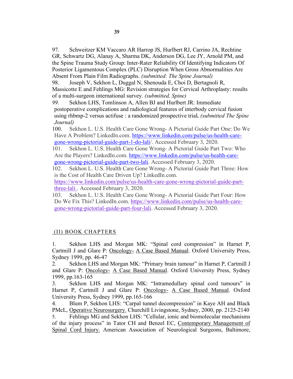Posterior Ligamentous Complex (PLC) Disruption When Gross Abnormalities Are Absent From Plain Film Radiographs. *(submitted: The Spine Journal)*

98. Joseph V, Sekhon L, Duggal N, Shenouda E, Choi D, Bertagnoli R, Massicotte E and Fehlings MG: Revision strategies for Cervical Arthroplasty: results of a multi-surgeon international survey. *(submitted, Spine)*

*99.* Sekhon LHS, Tomlinson A, Allen BJ and Hurlbert JR: Immediate postoperative complications and radiological features of interbody cervical fusion using rhbmp-2 versus actifuse : a randomized prospective trial*. (submitted The Spine Journal)*

100. Sekhon L. U.S. Health Care Gone Wrong- A Pictorial Guide Part One: Do We Have A Problem? LinkedIn.com. https://www.linkedin.com/pulse/us-health-caregone-wrong-pictorial-guide-part-1-do-lali/. Accessed February 3, 2020.

101. Sekhon L. U.S. Health Care Gone Wrong- A Pictorial Guide Part Two: Who Are the Players? LinkedIn.com. https://www.linkedin.com/pulse/us-health-caregone-wrong-pictorial-guide-part-two-lali. Accessed February 3, 2020.

102. Sekhon L. U.S. Health Care Gone Wrong- A Pictorial Guide Part Three: How is the Cost of Health Care Driven Up? LinkedIn.com.

https://www.linkedin.com/pulse/us-health-care-gone-wrong-pictorial-guide-partthree-lali . Accessed February 3, 2020.

103. Sekhon L. U.S. Health Care Gone Wrong- A Pictorial Guide Part Four: How Do We Fix This? LinkedIn.com. https://www.linkedin.com/pulse/us-health-caregone-wrong-pictorial-guide-part-four-lali. Accessed February 3, 2020.

# (II) BOOK CHAPTERS

1. Sekhon LHS and Morgan MK: "Spinal cord compression" in Harnet P, Cartmill J and Glare P: Oncology- A Case Based Manual. Oxford University Press, Sydney 1999, pp. 46-47

2. Sekhon LHS and Morgan MK: "Primary brain tumour" in Harnet P, Cartmill J and Glare P: Oncology- A Case Based Manual. Oxford University Press, Sydney 1999, pp.163-165

3. Sekhon LHS and Morgan MK: "Intramedullary spinal cord tumours" in Harnet P, Cartmill J and Glare P: Oncology- A Case Based Manual. Oxford University Press, Sydney 1999, pp.165-166

4. Blum P, Sekhon LHS: "Carpal tunnel decompression" in Kaye AH and Black PMcL, Operative Neurosurgery. Churchill Livingstone, Sydney, 2000, pp. 2125-2140

5. Fehlings MG and Sekhon LHS: "Cellular, ionic and biomolecular mechanisms of the injury process" in Tator CH and Benzel EC, Contemporary Management of Spinal Cord Injury. American Association of Neurological Surgeons, Baltimore,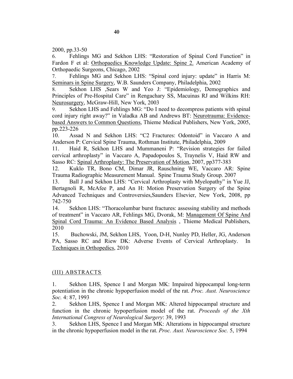2000, pp.33-50

6. Fehlings MG and Sekhon LHS: "Restoration of Spinal Cord Function" in Fardon F et al: Orthopaedics Knowledge Update: Spine 2. American Academy of Orthopaedic Surgeons, Chicago, 2002

7. Fehlings MG and Sekhon LHS: "Spinal cord injury: update" in Harris M: Seminars in Spine Surgery, W.B. Saunders Company, Philadelphia, 2002

8. Sekhon LHS ,Sears W and Yeo J: "Epidemiology, Demographics and Principles of Pre-Hospital Care" in Rengachary SS, Macuinas RJ and Wilkins RH: Neurosurgery, McGraw-Hill, New York, 2003

9. Sekhon LHS and Fehlings MG: "Do I need to decompress patients with spinal cord injury right away?" in Valadka AB and Andrews BT: Neurotrauma: Evidencebased Answers to Common Questions, Thieme Medical Publishers, New York, 2005, pp.223-226

10. Assad N and Sekhon LHS: "C2 Fractures: Odontoid" in Vaccaro A and Anderson P: Cervical Spine Trauma, Rothman Institute, Philadelphia, 2009

11. Haid R, Sekhon LHS and Mummaneni P: "Revision strategies for failed cervical arthroplasty" in Vaccaro A, Papadopoulos S, Traynelis V, Haid RW and Sasso RC: Spinal Arthroplasty: The Preservation of Motion, 2007, pp377-383

12. Kuklo TR, Bono CM, Dimar JR, Rauschning WE, Vaccaro AR: Spine Trauma Radiographic Measurement Manual. Spine Trauma Study Group. 2007

13. Ball J and Sekhon LHS: "Cervical Arthroplasty with Myelopathy" in Yue JJ, Bertagnoli R, McAfee P, and An H: Motion Preservation Surgery of the Spine Advanced Techniques and Controversies,Saunders Elsevier, New York, 2008, pp 742-750

14. Sekhon LHS: "Thoracolumbar burst fractures: assessing stability and methods of treatment" in Vaccaro AR, Fehlings MG, Dvorak, M: Management Of Spine And Spinal Cord Trauma: An Evidence Based Analysis , Thieme Medical Publishers, 2010

15. Buchowski, JM, Sekhon LHS, Yoon, D-H, Nunley PD, Heller, JG, Anderson PA, Sasso RC and Riew DK: Adverse Events of Cervical Arthroplasty. In Techniques in Orthopedics, 2010

## (III) ABSTRACTS

1. Sekhon LHS, Spence I and Morgan MK: Impaired hippocampal long-term potentiation in the chronic hypoperfusion model of the rat. *Proc. Aust. Neuroscience Soc.* 4: 87, 1993

2. Sekhon LHS, Spence I and Morgan MK: Altered hippocampal structure and function in the chronic hypoperfusion model of the rat. *Proceeds of the Xth International Congress of Neurological Surgery*: 39, 1993

3. Sekhon LHS, Spence I and Morgan MK: Alterations in hippocampal structure in the chronic hypoperfusion model in the rat. *Proc. Aust. Neuroscience Soc.* 5, 1994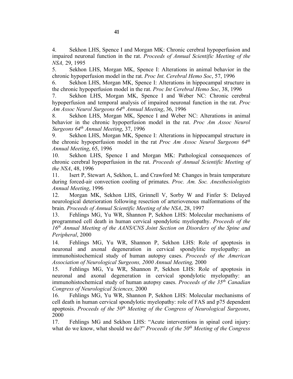4. Sekhon LHS, Spence I and Morgan MK: Chronic cerebral hypoperfusion and impaired neuronal function in the rat. *Proceeds of Annual Scientific Meeting of the NSA,* 29, 1995

5. Sekhon LHS, Morgan MK, Spence I: Alterations in animal behavior in the chronic hypoperfusion model in the rat. *Proc Int. Cerebral Hemo Soc*, 57, 1996

6. Sekhon LHS, Morgan MK, Spence I: Alterations in hippocampal structure in the chronic hypoperfusion model in the rat. *Proc Int Cerebral Hemo Soc*, 38, 1996

7. Sekhon LHS, Morgan MK, Spence I and Weber NC: Chronic cerebral hypoperfusion and temporal analysis of impaired neuronal function in the rat. *Proc Am Assoc Neurol Surgeons 64th Annual Meeting*, 36, 1996

8. Sekhon LHS, Morgan MK, Spence I and Weber NC: Alterations in animal behavior in the chronic hypoperfusion model in the rat. *Proc Am Assoc Neurol Surgeons 64th Annual Meeting*, 37, 1996

9. Sekhon LHS, Morgan MK, Spence I: Alterations in hippocampal structure in the chronic hypoperfusion model in the rat *Proc Am Assoc Neurol Surgeons 64th Annual Meeting*, 65, 1996

10. Sekhon LHS, Spence I and Morgan MK: Pathological consequences of chronic cerebral hypoperfusion in the rat. *Proceeds of Annual Scientific Meeting of the NSA*, 48, 1996

11. Isert P, Stewart A, Sekhon, L. and Crawford M: Changes in brain temperature during forced-air convection cooling of primates. *Proc. Am. Soc. Anesthesiologists Annual Meeting*, 1996

12. Morgan MK, Sekhon LHS, Grinnell V, Sorby W and Finfer S: Delayed neurological deterioration following resection of arteriovenous malformations of the brain. *Proceeds of Annual Scientific Meeting of the NSA*, 28, 1997

13. Fehlings MG, Yu WR, Shannon P, Sekhon LHS: Molecular mechanisms of programmed cell death in human cervical spondylotic myelopathy. *Proceeds of the 16th Annual Meeting of the AANS/CNS Joint Section on Disorders of the Spine and Peripheral*, 2000

14. Fehlings MG, Yu WR, Shannon P, Sekhon LHS: Role of apoptosis in neuronal and axonal degeneration in cervical spondylitic myelopathy: an immunohistochemical study of human autopsy cases. *Proceeds of the American Association of Neurological Surgeons, 2000 Annual Meeting,* 2000

15. Fehlings MG, Yu WR, Shannon P, Sekhon LHS: Role of apoptosis in neuronal and axonal degeneration in cervical spondylotic myelopathy: an immunohistochemical study of human autopsy cases. *Proceeds of the 35th Canadian Congress of Neurological Sciences,* 2000

16. Fehlings MG, Yu WR, Shannon P, Sekhon LHS: Molecular mechanisms of cell death in human cervical spondylotic myelopathy: role of FAS and p75 dependent apoptosis. *Proceeds of the 50th Meeting of the Congress of Neurological Surgeons*, 2000

17. Fehlings MG and Sekhon LHS: "Acute interventions in spinal cord injury: what do we know, what should we do?" *Proceeds of the 50th Meeting of the Congress*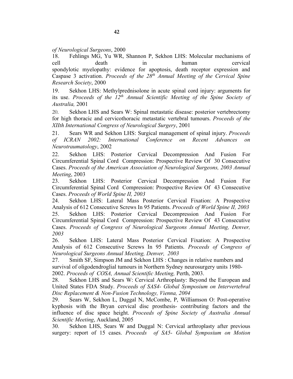*of Neurological Surgeons*, 2000

18. Fehlings MG, Yu WR, Shannon P, Sekhon LHS: Molecular mechanisms of cell death in human cervical spondylotic myelopathy: evidence for apoptosis, death receptor expression and Caspase 3 activation. *Proceeds of the 28th Annual Meeting of the Cervical Spine Research Society*, 2000

19. Sekhon LHS: Methylprednisolone in acute spinal cord injury: arguments for its use. *Proceeds of the 12th Annual Scientific Meeting of the Spine Society of Australia,* 2001

20. Sekhon LHS and Sears W: Spinal metastatic disease: posterior vertebrectomy for high thoracic and cervicothoracic metastatic vertebral tumours. *Proceeds of the XIIth International Congress of Neurological Surgery*, 2001

21. Sears WR and Sekhon LHS: Surgical management of spinal injury. *Proceeds of ICRAN 2002: International Conference on Recent Advances on Neurotraumatology*, 2002

22. Sekhon LHS: Posterior Cervical Decompression And Fusion For Circumferential Spinal Cord Compression: Prospective Review Of 30 Consecutive Cases. *Proceeds of the American Association of Neurological Surgeons, 2003 Annual Meeting*, 2003

23. Sekhon LHS: Posterior Cervical Decompression And Fusion For Circumferential Spinal Cord Compression: Prospective Review Of 43 Consecutive Cases. *Proceeds of World Spine II, 2003*

24. Sekhon LHS: Lateral Mass Posterior Cervical Fixation: A Prospective Analysis of 612 Consecutive Screws In 95 Patients. *Proceeds of World Spine II, 2003* 25. Sekhon LHS: Posterior Cervical Decompression And Fusion For Circumferential Spinal Cord Compression: Prospective Review Of 43 Consecutive Cases. *Proceeds of Congress of Neurological Surgeons Annual Meeting, Denver, 2003*

26. Sekhon LHS: Lateral Mass Posterior Cervical Fixation: A Prospective Analysis of 612 Consecutive Screws In 95 Patients. *Proceeds of Congress of Neurological Surgeons Annual Meeting, Denver, 2003*

27. Smith SF, Simpson JM and Sekhon LHS : Changes in relative numbers and survival of oligodendroglial tumours in Northern Sydney neurosurgery units 1980- 2002. *Proceeds of COSA, Annual Scientific Meeting,* Perth, 2003.

28. Sekhon LHS and Sears W: Cervical Arthroplasty: Beyond the European and United States FDA Study. *Proceeds of SAS4- Global Symposium on Intervertebral Disc Replacement & Non-Fusion Technology, Vienna, 2004* 

29. Sears W, Sekhon L, Duggal N, McCombe, P, Williamson O: Post-operative kyphosis with the Bryan cervical disc prosthesis- contributing factors and the influence of disc space height. *Proceeds of Spine Society of Australia Annual Scientific Meeting*, Auckland, 2005

30. Sekhon LHS, Sears W and Duggal N: Cervical arthroplasty after previous surgery: report of 15 cases. *Proceeds of SA5- Global Symposium on Motion*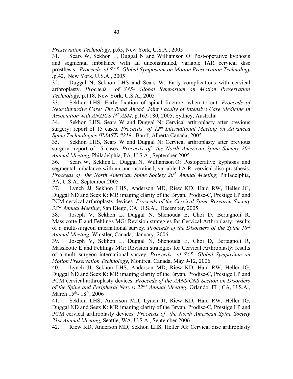*Preservation Technology,* p.65, New York, U.S.A., 2005

31. Sears W, Sekhon L, Duggal N and Williamson O: Post-operative kyphosis and segmental imbalance with an unconstrained, variable IAR cervical disc prosthesis. *Proceeds of SA5- Global Symposium on Motion Preservation Technology ,*p.42, New York, U.S.A., 2005

32. Duggal N, Sekhon LHS and Sears W: Early complications with cervical arthroplasty. *Proceeds of SA5- Global Symposium on Motion Preservation Technology,* p.118, New York, U.S.A., 2005

33. Sekhon LHS: Early fixation of spinal fracture: when to cut. *Proceeds of Neurointensive Care: The Road Ahead. Joint Faculty of Intensive Care Medicine in Association with ANZICS 1ST ASM*, p.163-180, 2005, Sydney, Australia

34. Sekhon LHS, Sears W and Duggal N: Cervical arthroplasty after previous surgery: report of 15 cases. *Proceeds of 12<sup>th</sup> International Meeting on Advanced Spine Technologies (IMAST),#218,*, Banff, Alberta Canada, 2005

35. Sekhon LHS, Sears W and Duggal N: Cervical arthroplasty after previous surgery: report of 15 cases. *Proceeds of the North American Spine Society 20<sup>th</sup> Annual Meeting,* Philadelphia, PA, U.S.A., September 2005

36. Sears W, Sekhon L, Duggal N, Williamson O: Postoperative kyphosis and segmental imbalance with an unconstrained, variable I.A.R. cervical disc prosthesis. *Proceeds of the North American Spine Society 20th Annual Meeting,* Philadelphia, PA, U.S.A., September 2005

37. Lynch JJ, Sekhon LHS, Anderson MD, Riew KD, Haid RW, Heller JG, Duggal ND and Seex K: MR imaging clarity of the Bryan, Prodisc-C, Prestige LP and PCM cervical arthroplasty devices. *Proceeds of the Cervical Spine Research Society 33rd Annual Meeting*, San Diego, CA, U.S.A., December, 2005

38. Joseph V, Sekhon L, Duggal N, Shenouda E, Choi D, Bertagnoli R, Massicotte E and Fehlings MG: Revision strategies for Cervical Arthroplasty: results of a multi-surgeon international survey. *Proceeds of the Disorders of the Spine 18th Annual Meeting*, Whistler, Canada, January, 2006

39. Joseph V, Sekhon L, Duggal N, Shenouda E, Choi D, Bertagnoli R, Massicotte E and Fehlings MG: Revision strategies for Cervical Arthroplasty: results of a multi-surgeon international survey. *Proceeds of SA5- Global Symposium on Motion Preservation Technology*, Montreal Canada, May 9-12, 2006

40. Lynch JJ, Sekhon LHS, Anderson MD, Riew KD, Haid RW, Heller JG, Duggal ND and Seex K: MR imaging clarity of the Bryan, Prodisc-C, Prestige LP and PCM cervical arthroplasty devices. *Proceeds of the AANS/CNS Section on Disorders of the Spine and Peripheral Nerves 22nd Annual Meeting*, Orlando, FL, CA, U.S.A., March 15<sup>th</sup>- 18<sup>th</sup>, 2006

41. Sekhon LHS, Anderson MD, Lynch JJ, Riew KD, Haid RW, Heller JG, Duggal ND and Seex K: MR imaging clarity of the Bryan, Prodisc-C, Prestige LP and PCM cervical arthroplasty devices. *Proceeds of the North American Spine Society 21st Annual Meeting,* Seattle, WA, U.S.A., September 2006

42. Riew KD, Anderson MD, Sekhon LHS, Heller JG: Cervical disc arthroplasty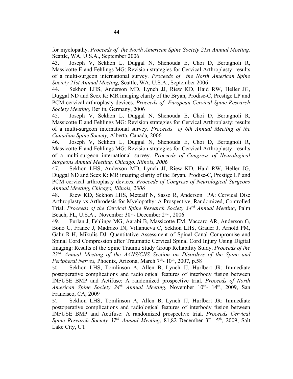for myelopathy. *Proceeds of the North American Spine Society 21st Annual Meeting,* Seattle, WA, U.S.A., September 2006

43. Joseph V, Sekhon L, Duggal N, Shenouda E, Choi D, Bertagnoli R, Massicotte E and Fehlings MG: Revision strategies for Cervical Arthroplasty: results of a multi-surgeon international survey. *Proceeds of the North American Spine Society 21st Annual Meeting,* Seattle, WA, U.S.A., September 2006

44. Sekhon LHS, Anderson MD, Lynch JJ, Riew KD, Haid RW, Heller JG, Duggal ND and Seex K: MR imaging clarity of the Bryan, Prodisc-C, Prestige LP and PCM cervical arthroplasty devices. *Proceeds of European Cervical Spine Research Society Meeting,* Berlin, Germany, 2006

45. Joseph V, Sekhon L, Duggal N, Shenouda E, Choi D, Bertagnoli R, Massicotte E and Fehlings MG: Revision strategies for Cervical Arthroplasty: results of a multi-surgeon international survey. *Proceeds of 6th Annual Meeting of the Canadian Spine Society,* Alberta, Canada*,* 2006

46. Joseph V, Sekhon L, Duggal N, Shenouda E, Choi D, Bertagnoli R, Massicotte E and Fehlings MG: Revision strategies for Cervical Arthroplasty: results of a multi-surgeon international survey. *Proceeds of Congress of Neurological Surgeons Annual Meeting, Chicago, Illinois, 2006*

47. Sekhon LHS, Anderson MD, Lynch JJ, Riew KD, Haid RW, Heller JG, Duggal ND and Seex K: MR imaging clarity of the Bryan, Prodisc-C, Prestige LP and PCM cervical arthroplasty devices. *Proceeds of Congress of Neurological Surgeons Annual Meeting, Chicago, Illinois, 2006*

48. Riew KD, Sekhon LHS, Metcalf N, Sasso R, Anderson PA: Cervical Disc Arthroplasty vs Arthrodesis for Myelopathy: A Prospective, Randomized, Controlled Trial. *Proceeds of the Cervical Spine Research Society 34rd Annual Meeting*, Palm Beach, FL, U.S.A., November 30<sup>th</sup>- December 2<sup>nd</sup>, 2006

49. Furlan J, Fehlings MG, Aarabi B, Massicotte EM, Vaccaro AR, Anderson G, Bono C, France J, Madrazo IN, Villanueva C, Sekhon LHS, Grauer J, Arnold PM, Gahr R-H, Mikulis DJ: Quantitative Assessment of Spinal Canal Compromise and Spinal Cord Compression after Traumatic Cervical Spinal Cord Injury Using Digital Imaging: Results of the Spine Trauma Study Group Reliability Study. *Proceeds of the 23rd Annual Meeting of the AANS/CNS Section on Disorders of the Spine and Peripheral Nerves, Phoenix, Arizona, March 7*<sup>th</sup>- 10<sup>th</sup>, 2007, p.58

50. Sekhon LHS, Tomlinson A, Allen B, Lynch JJ, Hurlbert JR: Immediate postoperative complications and radiological features of interbody fusion between INFUSE BMP and Actifuse: A randomized prospective trial. *Proceeds of North American Spine Society 24<sup>th</sup> Annual Meeting*, November 10<sup>th</sup>- 14<sup>th</sup>, 2009, San Francisco, CA, 2009

51. Sekhon LHS, Tomlinson A, Allen B, Lynch JJ, Hurlbert JR: Immediate postoperative complications and radiological features of interbody fusion between INFUSE BMP and Actifuse: A randomized prospective trial. *Proceeds Cervical Spine Research Society 37th Annual Meeting*, 81,82 December 3rd- 5th, 2009, Salt Lake City, UT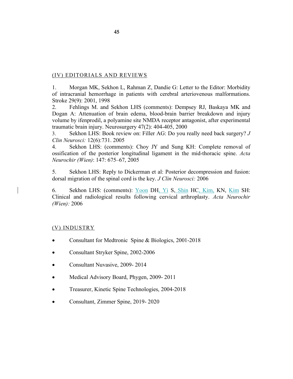# (IV) EDITORIALS AND REVIEWS

1. Morgan MK, Sekhon L, Rahman Z, Dandie G: Letter to the Editor: Morbidity of intracranial hemorrhage in patients with cerebral arteriovenous malformations. Stroke 29(9): 2001, 1998

2. Fehlings M. and Sekhon LHS (comments): Dempsey RJ, Baskaya MK and Dogan A: Attenuation of brain edema, blood-brain barrier breakdown and injury volume by ifenprodil, a polyamine site NMDA receptor antagonist, after experimental traumatic brain injury. Neurosurgery 47(2): 404-405, 2000

3. Sekhon LHS: Book review on: Filler AG: Do you really need back surgery? *J Clin Neurosci:* 12(6):731. 2005

4. Sekhon LHS: (comments): Choy JY and Sung KH: Complete removal of ossification of the posterior longitudinal ligament in the mid-thoracic spine. *Acta Neurochir (Wien)*: 147: 675–67, 2005

5. Sekhon LHS: Reply to Dickerman et al: Posterior decompression and fusion: dorsal migration of the spinal cord is the key. *J Clin Neurosci:* 2006

6. Sekhon LHS: (comments): Yoon DH, Yi S, Shin HC, Kim, KN, Kim SH: Clinical and radiological results following cervical arthroplasty. *Acta Neurochir (Wien):* 2006

## (V) INDUSTRY

- Consultant for Medtronic Spine & Biologics, 2001-2018
- Consultant Stryker Spine, 2002-2006
- Consultant Nuvasive, 2009-2014
- Medical Advisory Board, Phygen, 2009-2011
- Treasurer, Kinetic Spine Technologies, 2004-2018
- Consultant, Zimmer Spine, 2019- 2020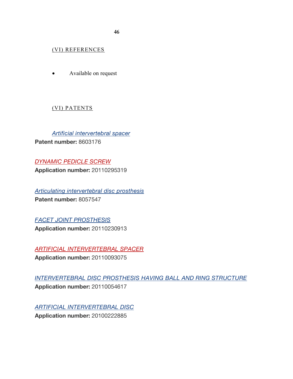(VI) REFERENCES

• Available on request

# (VI) PATENTS

*Artificial intervertebral spacer*

**Patent number:** 8603176

*DYNAMIC PEDICLE SCREW* **Application number:** 20110295319

*Articulating intervertebral disc prosthesis* **Patent number:** 8057547

*FACET JOINT PROSTHESIS* **Application number:** 20110230913

*ARTIFICIAL INTERVERTEBRAL SPACER*

**Application number:** 20110093075

*INTERVERTEBRAL DISC PROSTHESIS HAVING BALL AND RING STRUCTURE* **Application number:** 20110054617

*ARTIFICIAL INTERVERTEBRAL DISC* **Application number:** 20100222885